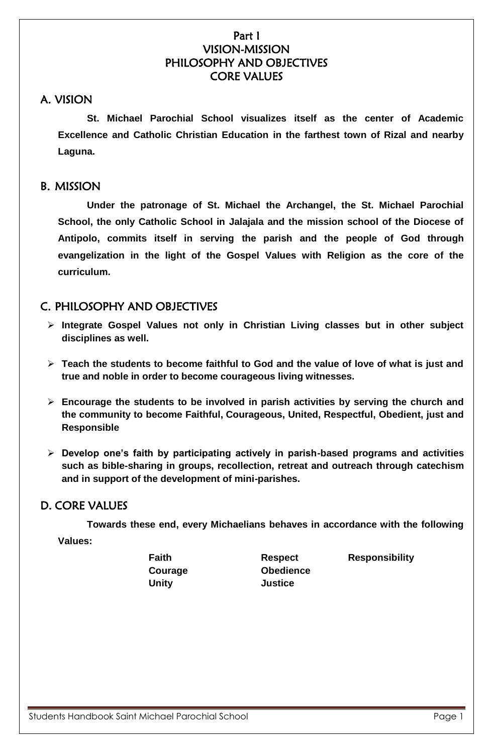## Part I VISION-MISSION PHILOSOPHY AND OBJECTIVES CORE VALUES

# A. VISION

**St. Michael Parochial School visualizes itself as the center of Academic Excellence and Catholic Christian Education in the farthest town of Rizal and nearby Laguna.**

## B. MISSION

**Under the patronage of St. Michael the Archangel, the St. Michael Parochial School, the only Catholic School in Jalajala and the mission school of the Diocese of Antipolo, commits itself in serving the parish and the people of God through evangelization in the light of the Gospel Values with Religion as the core of the curriculum.**

# C. PHILOSOPHY AND OBJECTIVES

- **Integrate Gospel Values not only in Christian Living classes but in other subject disciplines as well.**
- **Teach the students to become faithful to God and the value of love of what is just and true and noble in order to become courageous living witnesses.**
- **Encourage the students to be involved in parish activities by serving the church and the community to become Faithful, Courageous, United, Respectful, Obedient, just and Responsible**
- **Develop one's faith by participating actively in parish-based programs and activities such as bible-sharing in groups, recollection, retreat and outreach through catechism and in support of the development of mini-parishes.**

## D. CORE VALUES

**Towards these end, every Michaelians behaves in accordance with the following Values:**

**Unity Justice**

**Courage Obedience**

**Faith Respect Responsibility**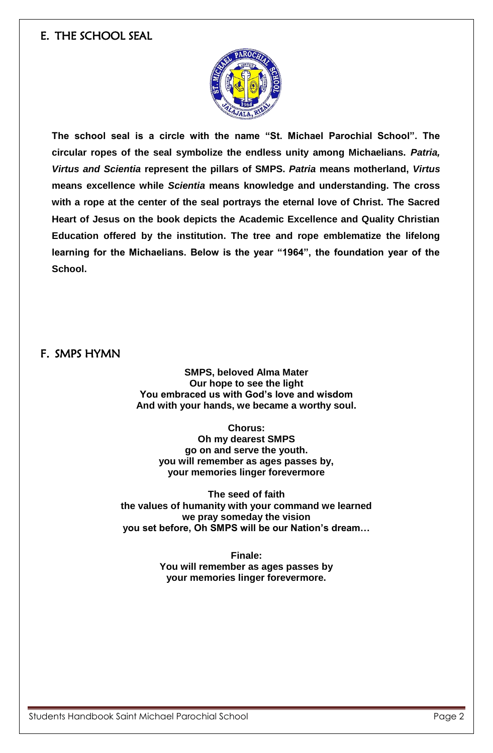## E. THE SCHOOL SEAL



**The school seal is a circle with the name "St. Michael Parochial School". The circular ropes of the seal symbolize the endless unity among Michaelians.** *Patria, Virtus and Scientia* **represent the pillars of SMPS.** *Patria* **means motherland,** *Virtus* **means excellence while** *Scientia* **means knowledge and understanding. The cross with a rope at the center of the seal portrays the eternal love of Christ. The Sacred Heart of Jesus on the book depicts the Academic Excellence and Quality Christian Education offered by the institution. The tree and rope emblematize the lifelong learning for the Michaelians. Below is the year "1964", the foundation year of the School.** 

F. SMPS HYMN

**SMPS, beloved Alma Mater Our hope to see the light You embraced us with God's love and wisdom And with your hands, we became a worthy soul.**

**Chorus: Oh my dearest SMPS go on and serve the youth. you will remember as ages passes by, your memories linger forevermore**

**The seed of faith the values of humanity with your command we learned we pray someday the vision you set before, Oh SMPS will be our Nation's dream…**

> **Finale: You will remember as ages passes by your memories linger forevermore.**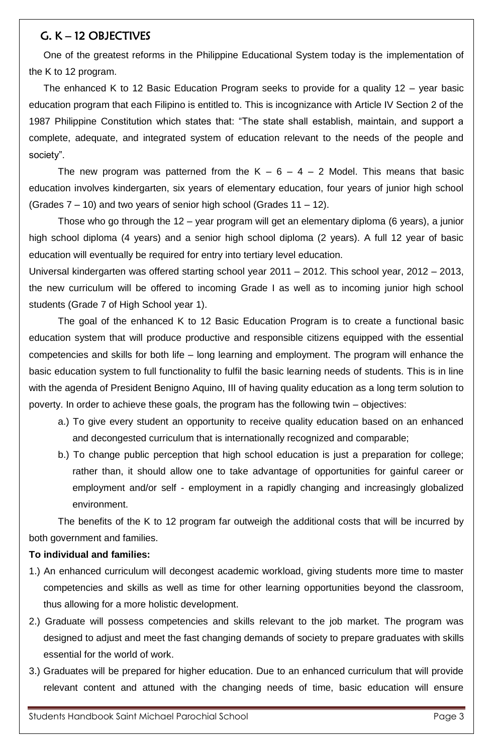# G. K – 12 OBJECTIVES

One of the greatest reforms in the Philippine Educational System today is the implementation of the K to 12 program.

The enhanced K to 12 Basic Education Program seeks to provide for a quality 12 – year basic education program that each Filipino is entitled to. This is incognizance with Article IV Section 2 of the 1987 Philippine Constitution which states that: "The state shall establish, maintain, and support a complete, adequate, and integrated system of education relevant to the needs of the people and society".

The new program was patterned from the  $K - 6 - 4 - 2$  Model. This means that basic education involves kindergarten, six years of elementary education, four years of junior high school (Grades 7 – 10) and two years of senior high school (Grades 11 – 12).

Those who go through the 12 – year program will get an elementary diploma (6 years), a junior high school diploma (4 years) and a senior high school diploma (2 years). A full 12 year of basic education will eventually be required for entry into tertiary level education.

Universal kindergarten was offered starting school year 2011 – 2012. This school year, 2012 – 2013, the new curriculum will be offered to incoming Grade I as well as to incoming junior high school students (Grade 7 of High School year 1).

The goal of the enhanced K to 12 Basic Education Program is to create a functional basic education system that will produce productive and responsible citizens equipped with the essential competencies and skills for both life – long learning and employment. The program will enhance the basic education system to full functionality to fulfil the basic learning needs of students. This is in line with the agenda of President Benigno Aquino, III of having quality education as a long term solution to poverty. In order to achieve these goals, the program has the following twin – objectives:

- a.) To give every student an opportunity to receive quality education based on an enhanced and decongested curriculum that is internationally recognized and comparable;
- b.) To change public perception that high school education is just a preparation for college; rather than, it should allow one to take advantage of opportunities for gainful career or employment and/or self - employment in a rapidly changing and increasingly globalized environment.

The benefits of the K to 12 program far outweigh the additional costs that will be incurred by both government and families.

## **To individual and families:**

- 1.) An enhanced curriculum will decongest academic workload, giving students more time to master competencies and skills as well as time for other learning opportunities beyond the classroom, thus allowing for a more holistic development.
- 2.) Graduate will possess competencies and skills relevant to the job market. The program was designed to adjust and meet the fast changing demands of society to prepare graduates with skills essential for the world of work.
- 3.) Graduates will be prepared for higher education. Due to an enhanced curriculum that will provide relevant content and attuned with the changing needs of time, basic education will ensure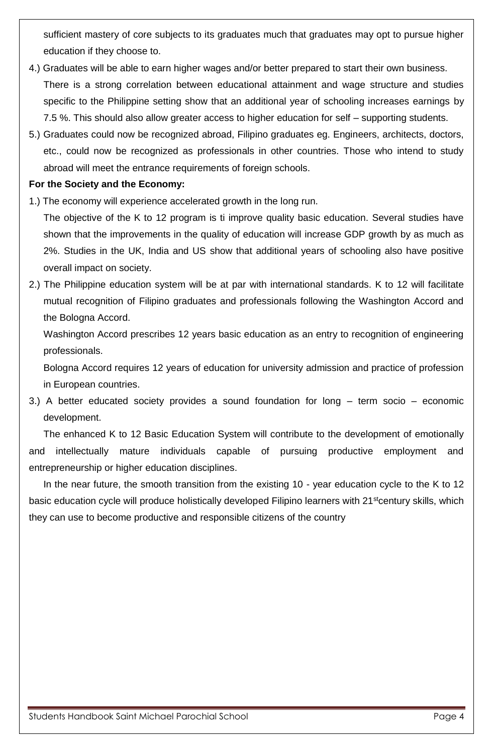sufficient mastery of core subjects to its graduates much that graduates may opt to pursue higher education if they choose to.

- 4.) Graduates will be able to earn higher wages and/or better prepared to start their own business. There is a strong correlation between educational attainment and wage structure and studies specific to the Philippine setting show that an additional year of schooling increases earnings by 7.5 %. This should also allow greater access to higher education for self – supporting students.
- 5.) Graduates could now be recognized abroad, Filipino graduates eg. Engineers, architects, doctors, etc., could now be recognized as professionals in other countries. Those who intend to study abroad will meet the entrance requirements of foreign schools.

## **For the Society and the Economy:**

1.) The economy will experience accelerated growth in the long run.

The objective of the K to 12 program is ti improve quality basic education. Several studies have shown that the improvements in the quality of education will increase GDP growth by as much as 2%. Studies in the UK, India and US show that additional years of schooling also have positive overall impact on society.

2.) The Philippine education system will be at par with international standards. K to 12 will facilitate mutual recognition of Filipino graduates and professionals following the Washington Accord and the Bologna Accord.

Washington Accord prescribes 12 years basic education as an entry to recognition of engineering professionals.

Bologna Accord requires 12 years of education for university admission and practice of profession in European countries.

3.) A better educated society provides a sound foundation for long – term socio – economic development.

The enhanced K to 12 Basic Education System will contribute to the development of emotionally and intellectually mature individuals capable of pursuing productive employment and entrepreneurship or higher education disciplines.

In the near future, the smooth transition from the existing 10 - year education cycle to the K to 12 basic education cycle will produce holistically developed Filipino learners with 21<sup>st</sup>century skills, which they can use to become productive and responsible citizens of the country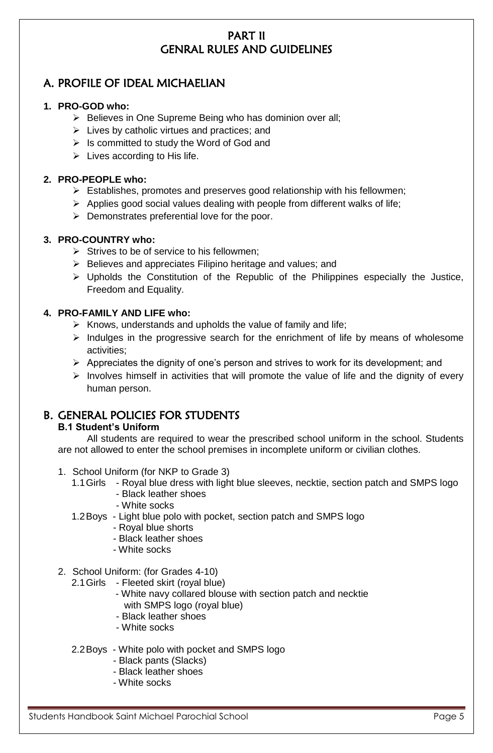# PART II GENRAL RULES AND GUIDELINES

# A. PROFILE OF IDEAL MICHAELIAN

## **1. PRO-GOD who:**

- $\triangleright$  Believes in One Supreme Being who has dominion over all;
- $\triangleright$  Lives by catholic virtues and practices; and
- $\triangleright$  Is committed to study the Word of God and
- $\triangleright$  Lives according to His life.

## **2. PRO-PEOPLE who:**

- $\triangleright$  Establishes, promotes and preserves good relationship with his fellowmen;
- $\triangleright$  Applies good social values dealing with people from different walks of life;
- $\triangleright$  Demonstrates preferential love for the poor.

## **3. PRO-COUNTRY who:**

- $\triangleright$  Strives to be of service to his fellowmen:
- $\triangleright$  Believes and appreciates Filipino heritage and values; and
- $\triangleright$  Upholds the Constitution of the Republic of the Philippines especially the Justice, Freedom and Equality.

## **4. PRO-FAMILY AND LIFE who:**

- $\triangleright$  Knows, understands and upholds the value of family and life;
- $\triangleright$  Indulges in the progressive search for the enrichment of life by means of wholesome activities;
- $\triangleright$  Appreciates the dignity of one's person and strives to work for its development; and
- $\triangleright$  Involves himself in activities that will promote the value of life and the dignity of every human person.

## B. GENERAL POLICIES FOR STUDENTS

## **B.1 Student's Uniform**

All students are required to wear the prescribed school uniform in the school. Students are not allowed to enter the school premises in incomplete uniform or civilian clothes.

- 1. School Uniform (for NKP to Grade 3)
	- 1.1Girls Royal blue dress with light blue sleeves, necktie, section patch and SMPS logo
		- Black leather shoes
			- White socks
	- 1.2Boys Light blue polo with pocket, section patch and SMPS logo
		- Royal blue shorts
			- Black leather shoes
		- White socks
- 2. School Uniform: (for Grades 4-10)

2.1Girls - Fleeted skirt (royal blue)

- White navy collared blouse with section patch and necktie with SMPS logo (royal blue)
- Black leather shoes
- White socks
- 2.2Boys White polo with pocket and SMPS logo
	- Black pants (Slacks)
	- Black leather shoes
	- White socks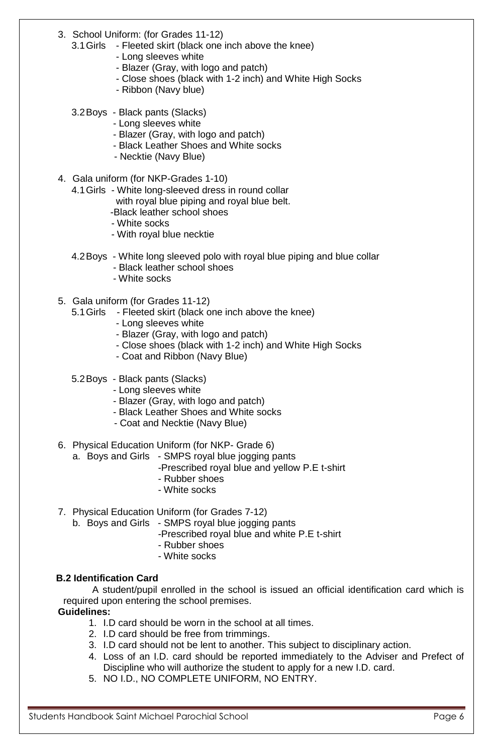- 3. School Uniform: (for Grades 11-12)
	- 3.1Girls Fleeted skirt (black one inch above the knee)
		- Long sleeves white
		- Blazer (Gray, with logo and patch)
		- Close shoes (black with 1-2 inch) and White High Socks
		- Ribbon (Navy blue)
	- 3.2Boys Black pants (Slacks)
		- Long sleeves white
		- Blazer (Gray, with logo and patch)
		- Black Leather Shoes and White socks
		- Necktie (Navy Blue)
- 4. Gala uniform (for NKP-Grades 1-10)
	- 4.1Girls White long-sleeved dress in round collar
		- with royal blue piping and royal blue belt.
		- -Black leather school shoes
		- White socks
		- With royal blue necktie
	- 4.2Boys White long sleeved polo with royal blue piping and blue collar
		- Black leather school shoes
		- White socks
- 5. Gala uniform (for Grades 11-12)
	- 5.1Girls Fleeted skirt (black one inch above the knee)
		- Long sleeves white
		- Blazer (Gray, with logo and patch)
		- Close shoes (black with 1-2 inch) and White High Socks
		- Coat and Ribbon (Navy Blue)
	- 5.2Boys Black pants (Slacks)
		- Long sleeves white
			- Blazer (Gray, with logo and patch)
			- Black Leather Shoes and White socks
			- Coat and Necktie (Navy Blue)
- 6. Physical Education Uniform (for NKP- Grade 6)
	- a. Boys and Girls SMPS royal blue jogging pants
		- -Prescribed royal blue and yellow P.E t-shirt
		- Rubber shoes
		- White socks
- 7. Physical Education Uniform (for Grades 7-12)

b. Boys and Girls - SMPS royal blue jogging pants

- -Prescribed royal blue and white P.E t-shirt
- Rubber shoes
- White socks

## **B.2 Identification Card**

A student/pupil enrolled in the school is issued an official identification card which is required upon entering the school premises.

**Guidelines:**

- 1. I.D card should be worn in the school at all times.
- 2. I.D card should be free from trimmings.
- 3. I.D card should not be lent to another. This subject to disciplinary action.
- 4. Loss of an I.D. card should be reported immediately to the Adviser and Prefect of Discipline who will authorize the student to apply for a new I.D. card.
- 5. NO I.D., NO COMPLETE UNIFORM, NO ENTRY.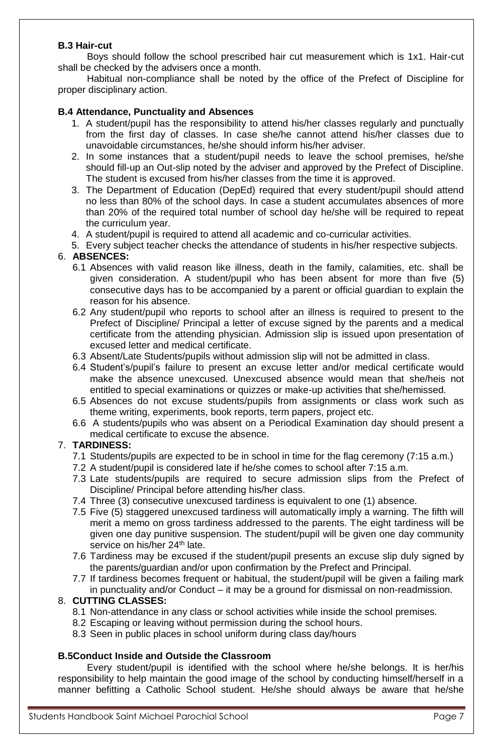## **B.3 Hair-cut**

Boys should follow the school prescribed hair cut measurement which is 1x1. Hair-cut shall be checked by the advisers once a month.

Habitual non-compliance shall be noted by the office of the Prefect of Discipline for proper disciplinary action.

#### **B.4 Attendance, Punctuality and Absences**

- 1. A student/pupil has the responsibility to attend his/her classes regularly and punctually from the first day of classes. In case she/he cannot attend his/her classes due to unavoidable circumstances, he/she should inform his/her adviser.
- 2. In some instances that a student/pupil needs to leave the school premises, he/she should fill-up an Out-slip noted by the adviser and approved by the Prefect of Discipline. The student is excused from his/her classes from the time it is approved.
- 3. The Department of Education (DepEd) required that every student/pupil should attend no less than 80% of the school days. In case a student accumulates absences of more than 20% of the required total number of school day he/she will be required to repeat the curriculum year.
- 4. A student/pupil is required to attend all academic and co-curricular activities.
- 5. Every subject teacher checks the attendance of students in his/her respective subjects.

## 6. **ABSENCES:**

- 6.1 Absences with valid reason like illness, death in the family, calamities, etc. shall be given consideration. A student/pupil who has been absent for more than five (5) consecutive days has to be accompanied by a parent or official guardian to explain the reason for his absence.
- 6.2 Any student/pupil who reports to school after an illness is required to present to the Prefect of Discipline/ Principal a letter of excuse signed by the parents and a medical certificate from the attending physician. Admission slip is issued upon presentation of excused letter and medical certificate.
- 6.3 Absent/Late Students/pupils without admission slip will not be admitted in class.
- 6.4 Student's/pupil's failure to present an excuse letter and/or medical certificate would make the absence unexcused. Unexcused absence would mean that she/heis not entitled to special examinations or quizzes or make-up activities that she/hemissed.
- 6.5 Absences do not excuse students/pupils from assignments or class work such as theme writing, experiments, book reports, term papers, project etc.
- 6.6 A students/pupils who was absent on a Periodical Examination day should present a medical certificate to excuse the absence.

## 7. **TARDINESS:**

- 7.1 Students/pupils are expected to be in school in time for the flag ceremony (7:15 a.m.)
- 7.2 A student/pupil is considered late if he/she comes to school after 7:15 a.m.
- 7.3 Late students/pupils are required to secure admission slips from the Prefect of Discipline/ Principal before attending his/her class.
- 7.4 Three (3) consecutive unexcused tardiness is equivalent to one (1) absence.
- 7.5 Five (5) staggered unexcused tardiness will automatically imply a warning. The fifth will merit a memo on gross tardiness addressed to the parents. The eight tardiness will be given one day punitive suspension. The student/pupil will be given one day community service on his/her 24<sup>th</sup> late.
- 7.6 Tardiness may be excused if the student/pupil presents an excuse slip duly signed by the parents/guardian and/or upon confirmation by the Prefect and Principal.
- 7.7 If tardiness becomes frequent or habitual, the student/pupil will be given a failing mark in punctuality and/or Conduct – it may be a ground for dismissal on non-readmission.

#### 8. **CUTTING CLASSES:**

- 8.1 Non-attendance in any class or school activities while inside the school premises.
- 8.2 Escaping or leaving without permission during the school hours.
- 8.3 Seen in public places in school uniform during class day/hours

#### **B.5Conduct Inside and Outside the Classroom**

Every student/pupil is identified with the school where he/she belongs. It is her/his responsibility to help maintain the good image of the school by conducting himself/herself in a manner befitting a Catholic School student. He/she should always be aware that he/she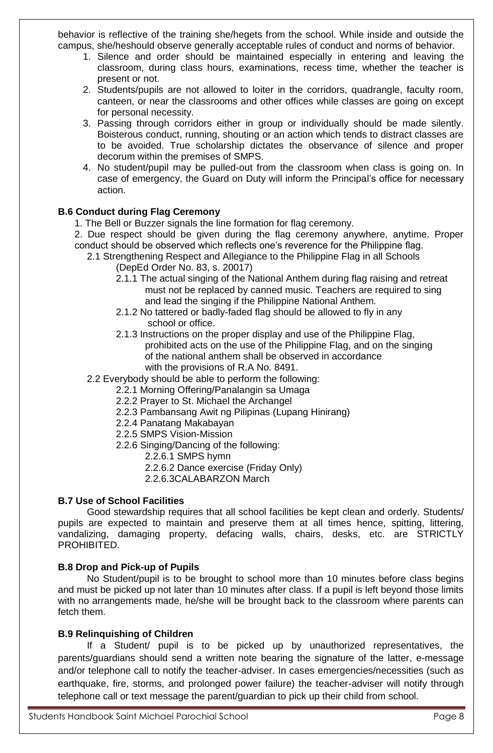behavior is reflective of the training she/hegets from the school. While inside and outside the campus, she/heshould observe generally acceptable rules of conduct and norms of behavior.

- 1. Silence and order should be maintained especially in entering and leaving the classroom, during class hours, examinations, recess time, whether the teacher is present or not.
- 2. Students/pupils are not allowed to loiter in the corridors, quadrangle, faculty room, canteen, or near the classrooms and other offices while classes are going on except for personal necessity.
- 3. Passing through corridors either in group or individually should be made silently. Boisterous conduct, running, shouting or an action which tends to distract classes are to be avoided. True scholarship dictates the observance of silence and proper decorum within the premises of SMPS.
- 4. No student/pupil may be pulled-out from the classroom when class is going on. In case of emergency, the Guard on Duty will inform the Principal's office for necessary action.

## **B.6 Conduct during Flag Ceremony**

- 1. The Bell or Buzzer signals the line formation for flag ceremony.
- 2. Due respect should be given during the flag ceremony anywhere, anytime. Proper conduct should be observed which reflects one's reverence for the Philippine flag.
	- 2.1 Strengthening Respect and Allegiance to the Philippine Flag in all Schools (DepEd Order No. 83, s. 20017)
		- 2.1.1 The actual singing of the National Anthem during flag raising and retreat must not be replaced by canned music. Teachers are required to sing and lead the singing if the Philippine National Anthem.
		- 2.1.2 No tattered or badly-faded flag should be allowed to fly in any school or office.
		- 2.1.3 Instructions on the proper display and use of the Philippine Flag, prohibited acts on the use of the Philippine Flag, and on the singing of the national anthem shall be observed in accordance with the provisions of R.A No. 8491.

2.2 Everybody should be able to perform the following:

- 2.2.1 Morning Offering/Panalangin sa Umaga
- 2.2.2 Prayer to St. Michael the Archangel
- 2.2.3 Pambansang Awit ng Pilipinas (Lupang Hinirang)
- 2.2.4 Panatang Makabayan
- 2.2.5 SMPS Vision-Mission
- 2.2.6 Singing/Dancing of the following:
	- 2.2.6.1 SMPS hymn
	- 2.2.6.2 Dance exercise (Friday Only)
	- 2.2.6.3CALABARZON March

## **B.7 Use of School Facilities**

Good stewardship requires that all school facilities be kept clean and orderly. Students/ pupils are expected to maintain and preserve them at all times hence, spitting, littering, vandalizing, damaging property, defacing walls, chairs, desks, etc. are STRICTLY PROHIBITED.

## **B.8 Drop and Pick-up of Pupils**

No Student/pupil is to be brought to school more than 10 minutes before class begins and must be picked up not later than 10 minutes after class. If a pupil is left beyond those limits with no arrangements made, he/she will be brought back to the classroom where parents can fetch them.

## **B.9 Relinquishing of Children**

If a Student/ pupil is to be picked up by unauthorized representatives, the parents/guardians should send a written note bearing the signature of the latter, e-message and/or telephone call to notify the teacher-adviser. In cases emergencies/necessities (such as earthquake, fire, storms, and prolonged power failure) the teacher-adviser will notify through telephone call or text message the parent/guardian to pick up their child from school.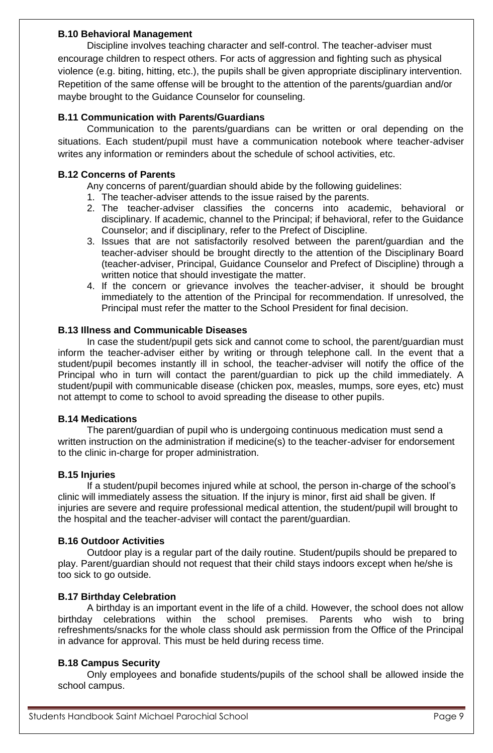#### **B.10 Behavioral Management**

Discipline involves teaching character and self-control. The teacher-adviser must encourage children to respect others. For acts of aggression and fighting such as physical violence (e.g. biting, hitting, etc.), the pupils shall be given appropriate disciplinary intervention. Repetition of the same offense will be brought to the attention of the parents/guardian and/or maybe brought to the Guidance Counselor for counseling.

## **B.11 Communication with Parents/Guardians**

Communication to the parents/guardians can be written or oral depending on the situations. Each student/pupil must have a communication notebook where teacher-adviser writes any information or reminders about the schedule of school activities, etc.

#### **B.12 Concerns of Parents**

Any concerns of parent/guardian should abide by the following guidelines:

- 1. The teacher-adviser attends to the issue raised by the parents.
- 2. The teacher-adviser classifies the concerns into academic, behavioral or disciplinary. If academic, channel to the Principal; if behavioral, refer to the Guidance Counselor; and if disciplinary, refer to the Prefect of Discipline.
- 3. Issues that are not satisfactorily resolved between the parent/guardian and the teacher-adviser should be brought directly to the attention of the Disciplinary Board (teacher-adviser, Principal, Guidance Counselor and Prefect of Discipline) through a written notice that should investigate the matter.
- 4. If the concern or grievance involves the teacher-adviser, it should be brought immediately to the attention of the Principal for recommendation. If unresolved, the Principal must refer the matter to the School President for final decision.

#### **B.13 Illness and Communicable Diseases**

In case the student/pupil gets sick and cannot come to school, the parent/guardian must inform the teacher-adviser either by writing or through telephone call. In the event that a student/pupil becomes instantly ill in school, the teacher-adviser will notify the office of the Principal who in turn will contact the parent/guardian to pick up the child immediately. A student/pupil with communicable disease (chicken pox, measles, mumps, sore eyes, etc) must not attempt to come to school to avoid spreading the disease to other pupils.

## **B.14 Medications**

The parent/guardian of pupil who is undergoing continuous medication must send a written instruction on the administration if medicine(s) to the teacher-adviser for endorsement to the clinic in-charge for proper administration.

#### **B.15 Injuries**

If a student/pupil becomes injured while at school, the person in-charge of the school's clinic will immediately assess the situation. If the injury is minor, first aid shall be given. If injuries are severe and require professional medical attention, the student/pupil will brought to the hospital and the teacher-adviser will contact the parent/guardian.

## **B.16 Outdoor Activities**

Outdoor play is a regular part of the daily routine. Student/pupils should be prepared to play. Parent/guardian should not request that their child stays indoors except when he/she is too sick to go outside.

## **B.17 Birthday Celebration**

A birthday is an important event in the life of a child. However, the school does not allow birthday celebrations within the school premises. Parents who wish to bring refreshments/snacks for the whole class should ask permission from the Office of the Principal in advance for approval. This must be held during recess time.

## **B.18 Campus Security**

Only employees and bonafide students/pupils of the school shall be allowed inside the school campus.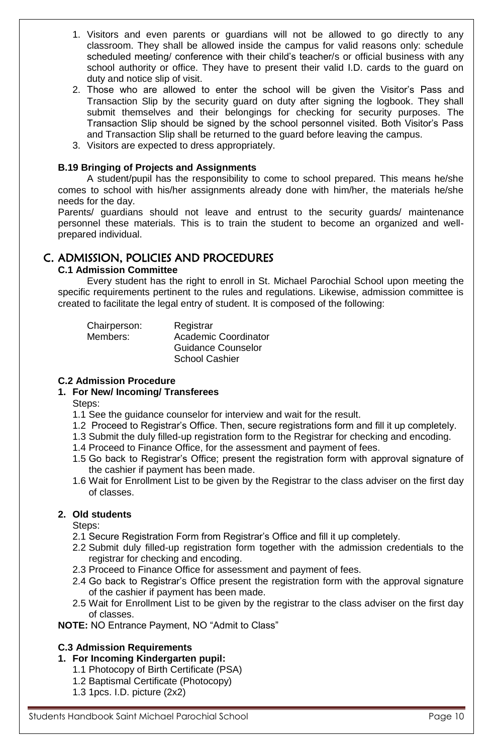- 1. Visitors and even parents or guardians will not be allowed to go directly to any classroom. They shall be allowed inside the campus for valid reasons only: schedule scheduled meeting/ conference with their child's teacher/s or official business with any school authority or office. They have to present their valid I.D. cards to the guard on duty and notice slip of visit.
- 2. Those who are allowed to enter the school will be given the Visitor's Pass and Transaction Slip by the security guard on duty after signing the logbook. They shall submit themselves and their belongings for checking for security purposes. The Transaction Slip should be signed by the school personnel visited. Both Visitor's Pass and Transaction Slip shall be returned to the guard before leaving the campus.
- 3. Visitors are expected to dress appropriately.

## **B.19 Bringing of Projects and Assignments**

A student/pupil has the responsibility to come to school prepared. This means he/she comes to school with his/her assignments already done with him/her, the materials he/she needs for the day.

Parents/ guardians should not leave and entrust to the security guards/ maintenance personnel these materials. This is to train the student to become an organized and wellprepared individual.

## C. ADMISSION, POLICIES AND PROCEDURES

## **C.1 Admission Committee**

Every student has the right to enroll in St. Michael Parochial School upon meeting the specific requirements pertinent to the rules and regulations. Likewise, admission committee is created to facilitate the legal entry of student. It is composed of the following:

| Chairperson: | Registrar                 |
|--------------|---------------------------|
| Members:     | Academic Coordinator      |
|              | <b>Guidance Counselor</b> |
|              | <b>School Cashier</b>     |

## **C.2 Admission Procedure**

## **1. For New/ Incoming/ Transferees**

- Steps:
- 1.1 See the guidance counselor for interview and wait for the result.
- 1.2 Proceed to Registrar's Office. Then, secure registrations form and fill it up completely.
- 1.3 Submit the duly filled-up registration form to the Registrar for checking and encoding.
- 1.4 Proceed to Finance Office, for the assessment and payment of fees.
- 1.5 Go back to Registrar's Office; present the registration form with approval signature of the cashier if payment has been made.
- 1.6 Wait for Enrollment List to be given by the Registrar to the class adviser on the first day of classes.

## **2. Old students**

Steps:

- 2.1 Secure Registration Form from Registrar's Office and fill it up completely.
- 2.2 Submit duly filled-up registration form together with the admission credentials to the registrar for checking and encoding.
- 2.3 Proceed to Finance Office for assessment and payment of fees.
- 2.4 Go back to Registrar's Office present the registration form with the approval signature of the cashier if payment has been made.
- 2.5 Wait for Enrollment List to be given by the registrar to the class adviser on the first day of classes.

**NOTE:** NO Entrance Payment, NO "Admit to Class"

## **C.3 Admission Requirements**

## **1. For Incoming Kindergarten pupil:**

- 1.1 Photocopy of Birth Certificate (PSA)
- 1.2 Baptismal Certificate (Photocopy)
- 1.3 1pcs. I.D. picture (2x2)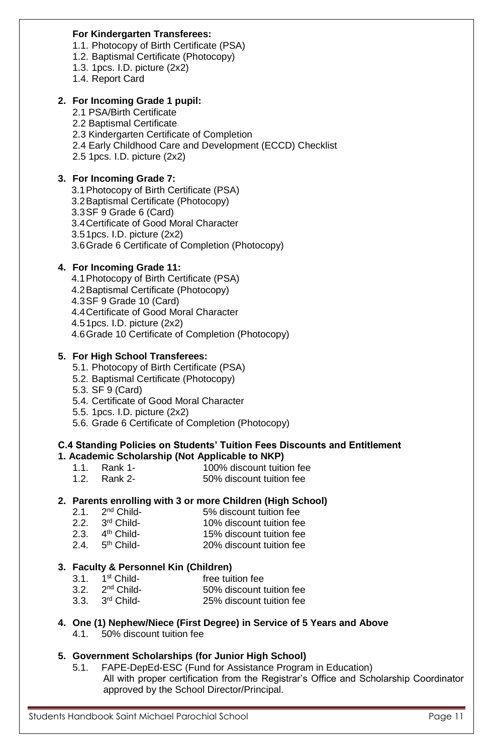#### **For Kindergarten Transferees:**

- 1.1. Photocopy of Birth Certificate (PSA)
- 1.2. Baptismal Certificate (Photocopy)
- 1.3. 1pcs. I.D. picture (2x2)
- 1.4. Report Card

#### **2. For Incoming Grade 1 pupil:**

- 2.1 PSA/Birth Certificate
- 2.2 Baptismal Certificate
- 2.3 Kindergarten Certificate of Completion
- 2.4 Early Childhood Care and Development (ECCD) Checklist
- 2.5 1pcs. I.D. picture (2x2)

#### **3. For Incoming Grade 7:**

- 3.1Photocopy of Birth Certificate (PSA)
- 3.2Baptismal Certificate (Photocopy)
- 3.3SF 9 Grade 6 (Card)
- 3.4Certificate of Good Moral Character
- 3.51pcs. I.D. picture (2x2)
- 3.6Grade 6 Certificate of Completion (Photocopy)

#### **4. For Incoming Grade 11:**

- 4.1Photocopy of Birth Certificate (PSA)
- 4.2Baptismal Certificate (Photocopy)
- 4.3SF 9 Grade 10 (Card)
- 4.4Certificate of Good Moral Character
- 4.51pcs. I.D. picture (2x2)
- 4.6Grade 10 Certificate of Completion (Photocopy)

## **5. For High School Transferees:**

- 5.1. Photocopy of Birth Certificate (PSA)
- 5.2. Baptismal Certificate (Photocopy)
- 5.3. SF 9 (Card)
- 5.4. Certificate of Good Moral Character
- 5.5. 1pcs. I.D. picture (2x2)
- 5.6. Grade 6 Certificate of Completion (Photocopy)

#### **C.4 Standing Policies on Students' Tuition Fees Discounts and Entitlement 1. Academic Scholarship (Not Applicable to NKP)**

- 1.1. Rank 1- 100% discount tuition fee
- 1.2. Rank 2- 50% discount tuition fee

#### **2. Parents enrolling with 3 or more Children (High School)**

- 2.1.  $2^{nd}$  Child-5% discount tuition fee
- 2.2. 3<sup>rd</sup> Child-10% discount tuition fee
- 2.3.  $4<sup>th</sup>$  Child-15% discount tuition fee
- 2.4.  $5<sup>th</sup>$  Child-20% discount tuition fee

## **3. Faculty & Personnel Kin (Children)**

- 3.1. 1<sup>st</sup> Childfree tuition fee
- $3.2.$   $2^{nd}$  Child-50% discount tuition fee
- $3.3.$   $3<sup>rd</sup>$  Child-25% discount tuition fee

# **4. One (1) Nephew/Niece (First Degree) in Service of 5 Years and Above**

4.1. 50% discount tuition fee

## **5. Government Scholarships (for Junior High School)**

5.1. FAPE-DepEd-ESC (Fund for Assistance Program in Education) All with proper certification from the Registrar's Office and Scholarship Coordinator approved by the School Director/Principal.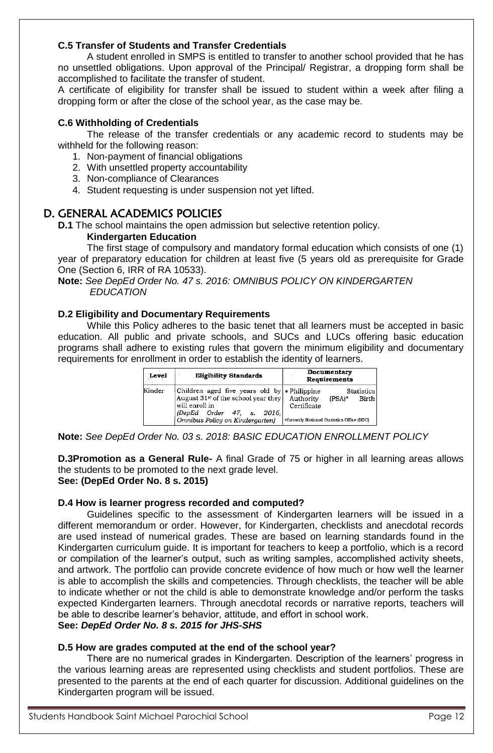## **C.5 Transfer of Students and Transfer Credentials**

A student enrolled in SMPS is entitled to transfer to another school provided that he has no unsettled obligations. Upon approval of the Principal/ Registrar, a dropping form shall be accomplished to facilitate the transfer of student.

A certificate of eligibility for transfer shall be issued to student within a week after filing a dropping form or after the close of the school year, as the case may be.

#### **C.6 Withholding of Credentials**

The release of the transfer credentials or any academic record to students may be withheld for the following reason:

- 1. Non-payment of financial obligations
- 2. With unsettled property accountability
- 3. Non-compliance of Clearances
- 4. Student requesting is under suspension not yet lifted.

## D. GENERAL ACADEMICS POLICIES

**D.1** The school maintains the open admission but selective retention policy.

#### **Kindergarten Education**

The first stage of compulsory and mandatory formal education which consists of one (1) year of preparatory education for children at least five (5 years old as prerequisite for Grade One (Section 6, IRR of RA 10533).

**Note:** *See DepEd Order No. 47 s. 2016: OMNIBUS POLICY ON KINDERGARTEN EDUCATION*

#### **D.2 Eligibility and Documentary Requirements**

While this Policy adheres to the basic tenet that all learners must be accepted in basic education. All public and private schools, and SUCs and LUCs offering basic education programs shall adhere to existing rules that govern the minimum eligibility and documentary requirements for enrollment in order to establish the identity of learners.

| Level  | <b>Eligibility Standards</b>                                                                                                                                                | Documentary<br>Requirements                                                                             |
|--------|-----------------------------------------------------------------------------------------------------------------------------------------------------------------------------|---------------------------------------------------------------------------------------------------------|
| Kinder | Children aged five years old by • Philippine<br>August $31st$ of the school year they<br>will enroll in<br>(DepEd Order 47, s.<br>2016.I<br>Omnibus Policy on Kindergarten) | Statistics<br>Authority<br>(PSA)*<br>Birth<br>Certificate<br>*formerly National Statistics Office (NSO) |

**Note:** *See DepEd Order No. 03 s. 2018: BASIC EDUCATION ENROLLMENT POLICY*

**D.3Promotion as a General Rule-** A final Grade of 75 or higher in all learning areas allows the students to be promoted to the next grade level. **See: (DepEd Order No. 8 s. 2015)**

#### **D.4 How is learner progress recorded and computed?**

Guidelines specific to the assessment of Kindergarten learners will be issued in a different memorandum or order. However, for Kindergarten, checklists and anecdotal records are used instead of numerical grades. These are based on learning standards found in the Kindergarten curriculum guide. It is important for teachers to keep a portfolio, which is a record or compilation of the learner's output, such as writing samples, accomplished activity sheets, and artwork. The portfolio can provide concrete evidence of how much or how well the learner is able to accomplish the skills and competencies. Through checklists, the teacher will be able to indicate whether or not the child is able to demonstrate knowledge and/or perform the tasks expected Kindergarten learners. Through anecdotal records or narrative reports, teachers will be able to describe learner's behavior, attitude, and effort in school work. **See:** *DepEd Order No. 8 s. 2015 for JHS-SHS*

#### **D.5 How are grades computed at the end of the school year?**

There are no numerical grades in Kindergarten. Description of the learners' progress in the various learning areas are represented using checklists and student portfolios. These are presented to the parents at the end of each quarter for discussion. Additional guidelines on the Kindergarten program will be issued.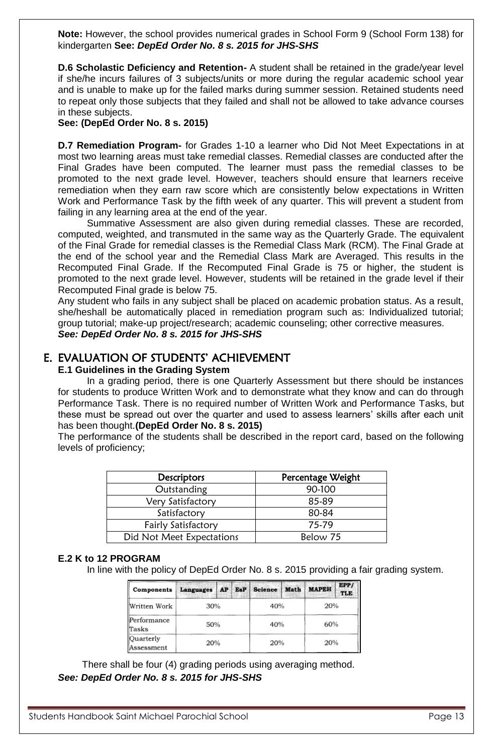**Note:** However, the school provides numerical grades in School Form 9 (School Form 138) for kindergarten **See:** *DepEd Order No. 8 s. 2015 for JHS-SHS*

**D.6 Scholastic Deficiency and Retention-** A student shall be retained in the grade/year level if she/he incurs failures of 3 subjects/units or more during the regular academic school year and is unable to make up for the failed marks during summer session. Retained students need to repeat only those subjects that they failed and shall not be allowed to take advance courses in these subjects.

**See: (DepEd Order No. 8 s. 2015)**

**D.7 Remediation Program-** for Grades 1-10 a learner who Did Not Meet Expectations in at most two learning areas must take remedial classes. Remedial classes are conducted after the Final Grades have been computed. The learner must pass the remedial classes to be promoted to the next grade level. However, teachers should ensure that learners receive remediation when they earn raw score which are consistently below expectations in Written Work and Performance Task by the fifth week of any quarter. This will prevent a student from failing in any learning area at the end of the year.

Summative Assessment are also given during remedial classes. These are recorded, computed, weighted, and transmuted in the same way as the Quarterly Grade. The equivalent of the Final Grade for remedial classes is the Remedial Class Mark (RCM). The Final Grade at the end of the school year and the Remedial Class Mark are Averaged. This results in the Recomputed Final Grade. If the Recomputed Final Grade is 75 or higher, the student is promoted to the next grade level. However, students will be retained in the grade level if their Recomputed Final grade is below 75.

Any student who fails in any subject shall be placed on academic probation status. As a result, she/heshall be automatically placed in remediation program such as: Individualized tutorial; group tutorial; make-up project/research; academic counseling; other corrective measures. *See: DepEd Order No. 8 s. 2015 for JHS-SHS*

## E. EVALUATION OF STUDENTS' ACHIEVEMENT

#### **E.1 Guidelines in the Grading System**

In a grading period, there is one Quarterly Assessment but there should be instances for students to produce Written Work and to demonstrate what they know and can do through Performance Task. There is no required number of Written Work and Performance Tasks, but these must be spread out over the quarter and used to assess learners' skills after each unit has been thought.**(DepEd Order No. 8 s. 2015)**

The performance of the students shall be described in the report card, based on the following levels of proficiency;

| <b>Descriptors</b>        | Percentage Weight |
|---------------------------|-------------------|
| Outstanding               | 90-100            |
| Very Satisfactory         | 85-89             |
| Satisfactory              | 80-84             |
| Fairly Satisfactory       | 75-79             |
| Did Not Meet Expectations | Below 75          |

#### **E.2 K to 12 PROGRAM**

In line with the policy of DepEd Order No. 8 s. 2015 providing a fair grading system.

| Components              | Languages AP EsP Science Math |  |     |     |     | <b>MAPEH</b> | EPP/<br><b>TLE</b> |
|-------------------------|-------------------------------|--|-----|-----|-----|--------------|--------------------|
| Written Work            | 30%                           |  | 40% |     | 20% |              |                    |
| Performance<br>Tasks    | 50%                           |  |     | 40% |     | 60%          |                    |
| Quarterly<br>Assessment | 20%                           |  |     | 20% |     | 20%          |                    |

There shall be four (4) grading periods using averaging method. *See: DepEd Order No. 8 s. 2015 for JHS-SHS*

Students Handbook Saint Michael Parochial School **Page 13** Page 13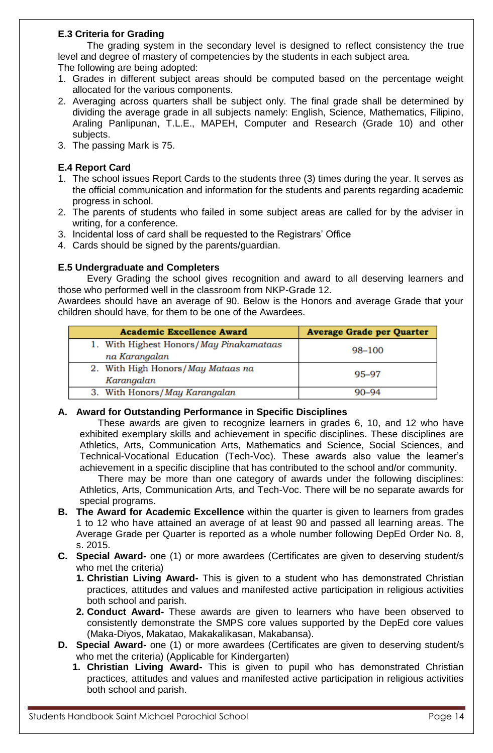## **E.3 Criteria for Grading**

The grading system in the secondary level is designed to reflect consistency the true level and degree of mastery of competencies by the students in each subject area.

The following are being adopted:

- 1. Grades in different subject areas should be computed based on the percentage weight allocated for the various components.
- 2. Averaging across quarters shall be subject only. The final grade shall be determined by dividing the average grade in all subjects namely: English, Science, Mathematics, Filipino, Araling Panlipunan, T.L.E., MAPEH, Computer and Research (Grade 10) and other subjects.
- 3. The passing Mark is 75.

## **E.4 Report Card**

- 1. The school issues Report Cards to the students three (3) times during the year. It serves as the official communication and information for the students and parents regarding academic progress in school.
- 2. The parents of students who failed in some subject areas are called for by the adviser in writing, for a conference.
- 3. Incidental loss of card shall be requested to the Registrars' Office
- 4. Cards should be signed by the parents/guardian.

## **E.5 Undergraduate and Completers**

Every Grading the school gives recognition and award to all deserving learners and those who performed well in the classroom from NKP-Grade 12.

Awardees should have an average of 90. Below is the Honors and average Grade that your children should have, for them to be one of the Awardees.

| <b>Academic Excellence Award</b>                         | <b>Average Grade per Quarter</b> |
|----------------------------------------------------------|----------------------------------|
| 1. With Highest Honors/May Pinakamataas<br>na Karangalan | 98-100                           |
| 2. With High Honors/May Mataas na<br>Karangalan          | 95–97                            |
| 3. With Honors/May Karangalan                            | $90 - 94$                        |

## **A. Award for Outstanding Performance in Specific Disciplines**

These awards are given to recognize learners in grades 6, 10, and 12 who have exhibited exemplary skills and achievement in specific disciplines. These disciplines are Athletics, Arts, Communication Arts, Mathematics and Science, Social Sciences, and Technical-Vocational Education (Tech-Voc). These awards also value the learner's achievement in a specific discipline that has contributed to the school and/or community.

There may be more than one category of awards under the following disciplines: Athletics, Arts, Communication Arts, and Tech-Voc. There will be no separate awards for special programs.

- **B. The Award for Academic Excellence** within the quarter is given to learners from grades 1 to 12 who have attained an average of at least 90 and passed all learning areas. The Average Grade per Quarter is reported as a whole number following DepEd Order No. 8, s. 2015.
- **C. Special Award-** one (1) or more awardees (Certificates are given to deserving student/s who met the criteria)
	- **1. Christian Living Award-** This is given to a student who has demonstrated Christian practices, attitudes and values and manifested active participation in religious activities both school and parish.
	- **2. Conduct Award-** These awards are given to learners who have been observed to consistently demonstrate the SMPS core values supported by the DepEd core values (Maka-Diyos, Makatao, Makakalikasan, Makabansa).
- **D. Special Award-** one (1) or more awardees (Certificates are given to deserving student/s who met the criteria) (Applicable for Kindergarten)
	- **1. Christian Living Award-** This is given to pupil who has demonstrated Christian practices, attitudes and values and manifested active participation in religious activities both school and parish.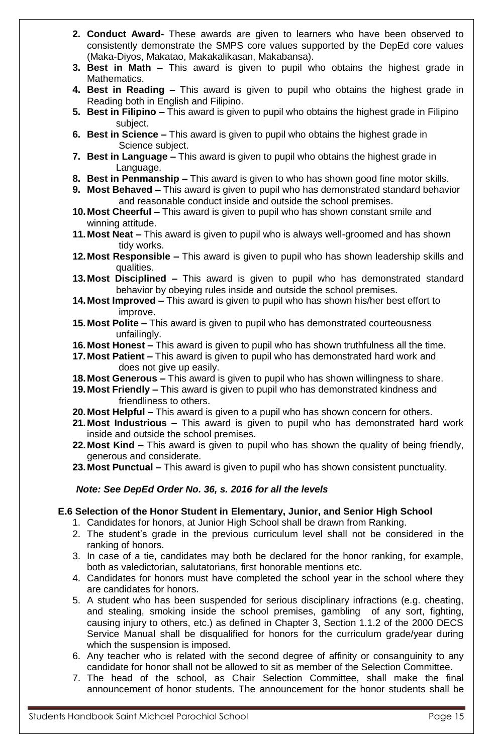- **2. Conduct Award-** These awards are given to learners who have been observed to consistently demonstrate the SMPS core values supported by the DepEd core values (Maka-Diyos, Makatao, Makakalikasan, Makabansa).
- **3. Best in Math –** This award is given to pupil who obtains the highest grade in Mathematics.
- **4. Best in Reading –** This award is given to pupil who obtains the highest grade in Reading both in English and Filipino.
- **5. Best in Filipino –** This award is given to pupil who obtains the highest grade in Filipino subject.
- **6. Best in Science –** This award is given to pupil who obtains the highest grade in Science subject.
- **7. Best in Language –** This award is given to pupil who obtains the highest grade in Language.
- **8. Best in Penmanship –** This award is given to who has shown good fine motor skills.
- **9. Most Behaved –** This award is given to pupil who has demonstrated standard behavior and reasonable conduct inside and outside the school premises.
- **10.Most Cheerful –** This award is given to pupil who has shown constant smile and winning attitude.
- **11.Most Neat –** This award is given to pupil who is always well-groomed and has shown tidy works.
- **12.Most Responsible –** This award is given to pupil who has shown leadership skills and qualities.
- **13.Most Disciplined –** This award is given to pupil who has demonstrated standard behavior by obeying rules inside and outside the school premises.
- **14.Most Improved –** This award is given to pupil who has shown his/her best effort to improve.
- **15.Most Polite –** This award is given to pupil who has demonstrated courteousness unfailingly.
- **16.Most Honest –** This award is given to pupil who has shown truthfulness all the time.
- **17.Most Patient –** This award is given to pupil who has demonstrated hard work and does not give up easily.
- **18.Most Generous –** This award is given to pupil who has shown willingness to share.
- **19.Most Friendly –** This award is given to pupil who has demonstrated kindness and friendliness to others.
- **20.Most Helpful –** This award is given to a pupil who has shown concern for others.
- **21.Most Industrious –** This award is given to pupil who has demonstrated hard work inside and outside the school premises.
- **22.Most Kind –** This award is given to pupil who has shown the quality of being friendly, generous and considerate.
- **23.Most Punctual –** This award is given to pupil who has shown consistent punctuality.

## *Note: See DepEd Order No. 36, s. 2016 for all the levels*

## **E.6 Selection of the Honor Student in Elementary, Junior, and Senior High School**

- 1. Candidates for honors, at Junior High School shall be drawn from Ranking.
- 2. The student's grade in the previous curriculum level shall not be considered in the ranking of honors.
- 3. In case of a tie, candidates may both be declared for the honor ranking, for example, both as valedictorian, salutatorians, first honorable mentions etc.
- 4. Candidates for honors must have completed the school year in the school where they are candidates for honors.
- 5. A student who has been suspended for serious disciplinary infractions (e.g. cheating, and stealing, smoking inside the school premises, gambling of any sort, fighting, causing injury to others, etc.) as defined in Chapter 3, Section 1.1.2 of the 2000 DECS Service Manual shall be disqualified for honors for the curriculum grade/year during which the suspension is imposed.
- 6. Any teacher who is related with the second degree of affinity or consanguinity to any candidate for honor shall not be allowed to sit as member of the Selection Committee.
- 7. The head of the school, as Chair Selection Committee, shall make the final announcement of honor students. The announcement for the honor students shall be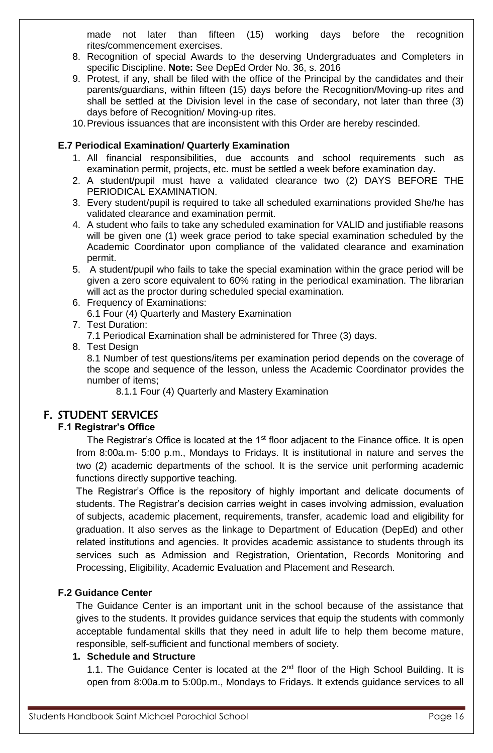made not later than fifteen (15) working days before the recognition rites/commencement exercises.

- 8. Recognition of special Awards to the deserving Undergraduates and Completers in specific Discipline. **Note:** See DepEd Order No. 36, s. 2016
- 9. Protest, if any, shall be filed with the office of the Principal by the candidates and their parents/guardians, within fifteen (15) days before the Recognition/Moving-up rites and shall be settled at the Division level in the case of secondary, not later than three (3) days before of Recognition/ Moving-up rites.
- 10.Previous issuances that are inconsistent with this Order are hereby rescinded.

#### **E.7 Periodical Examination/ Quarterly Examination**

- 1. All financial responsibilities, due accounts and school requirements such as examination permit, projects, etc. must be settled a week before examination day.
- 2. A student/pupil must have a validated clearance two (2) DAYS BEFORE THE PERIODICAL EXAMINATION.
- 3. Every student/pupil is required to take all scheduled examinations provided She/he has validated clearance and examination permit.
- 4. A student who fails to take any scheduled examination for VALID and justifiable reasons will be given one (1) week grace period to take special examination scheduled by the Academic Coordinator upon compliance of the validated clearance and examination permit.
- 5. A student/pupil who fails to take the special examination within the grace period will be given a zero score equivalent to 60% rating in the periodical examination. The librarian will act as the proctor during scheduled special examination.
- 6. Frequency of Examinations: 6.1 Four (4) Quarterly and Mastery Examination
- 7. Test Duration:

7.1 Periodical Examination shall be administered for Three (3) days.

8. Test Design

8.1 Number of test questions/items per examination period depends on the coverage of the scope and sequence of the lesson, unless the Academic Coordinator provides the number of items;

8.1.1 Four (4) Quarterly and Mastery Examination

## F. STUDENT SERVICES

## **F.1 Registrar's Office**

The Registrar's Office is located at the 1<sup>st</sup> floor adjacent to the Finance office. It is open from 8:00a.m- 5:00 p.m., Mondays to Fridays. It is institutional in nature and serves the two (2) academic departments of the school. It is the service unit performing academic functions directly supportive teaching.

The Registrar's Office is the repository of highly important and delicate documents of students. The Registrar's decision carries weight in cases involving admission, evaluation of subjects, academic placement, requirements, transfer, academic load and eligibility for graduation. It also serves as the linkage to Department of Education (DepEd) and other related institutions and agencies. It provides academic assistance to students through its services such as Admission and Registration, Orientation, Records Monitoring and Processing, Eligibility, Academic Evaluation and Placement and Research.

## **F.2 Guidance Center**

The Guidance Center is an important unit in the school because of the assistance that gives to the students. It provides guidance services that equip the students with commonly acceptable fundamental skills that they need in adult life to help them become mature, responsible, self-sufficient and functional members of society.

## **1. Schedule and Structure**

1.1. The Guidance Center is located at the  $2<sup>nd</sup>$  floor of the High School Building. It is open from 8:00a.m to 5:00p.m., Mondays to Fridays. It extends guidance services to all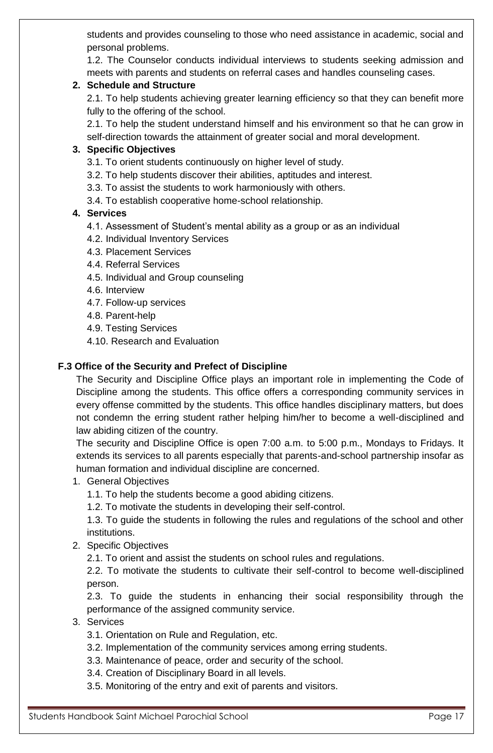students and provides counseling to those who need assistance in academic, social and personal problems.

1.2. The Counselor conducts individual interviews to students seeking admission and meets with parents and students on referral cases and handles counseling cases.

## **2. Schedule and Structure**

2.1. To help students achieving greater learning efficiency so that they can benefit more fully to the offering of the school.

2.1. To help the student understand himself and his environment so that he can grow in self-direction towards the attainment of greater social and moral development.

## **3. Specific Objectives**

- 3.1. To orient students continuously on higher level of study.
- 3.2. To help students discover their abilities, aptitudes and interest.
- 3.3. To assist the students to work harmoniously with others.
- 3.4. To establish cooperative home-school relationship.

## **4. Services**

- 4.1. Assessment of Student's mental ability as a group or as an individual
- 4.2. Individual Inventory Services
- 4.3. Placement Services
- 4.4. Referral Services
- 4.5. Individual and Group counseling
- 4.6. Interview
- 4.7. Follow-up services
- 4.8. Parent-help
- 4.9. Testing Services
- 4.10. Research and Evaluation

## **F.3 Office of the Security and Prefect of Discipline**

The Security and Discipline Office plays an important role in implementing the Code of Discipline among the students. This office offers a corresponding community services in every offense committed by the students. This office handles disciplinary matters, but does not condemn the erring student rather helping him/her to become a well-disciplined and law abiding citizen of the country.

The security and Discipline Office is open 7:00 a.m. to 5:00 p.m., Mondays to Fridays. It extends its services to all parents especially that parents-and-school partnership insofar as human formation and individual discipline are concerned.

- 1. General Objectives
	- 1.1. To help the students become a good abiding citizens.
	- 1.2. To motivate the students in developing their self-control.

1.3. To guide the students in following the rules and regulations of the school and other institutions.

## 2. Specific Objectives

2.1. To orient and assist the students on school rules and regulations.

2.2. To motivate the students to cultivate their self-control to become well-disciplined person.

2.3. To guide the students in enhancing their social responsibility through the performance of the assigned community service.

- 3. Services
	- 3.1. Orientation on Rule and Regulation, etc.
	- 3.2. Implementation of the community services among erring students.
	- 3.3. Maintenance of peace, order and security of the school.
	- 3.4. Creation of Disciplinary Board in all levels.
	- 3.5. Monitoring of the entry and exit of parents and visitors.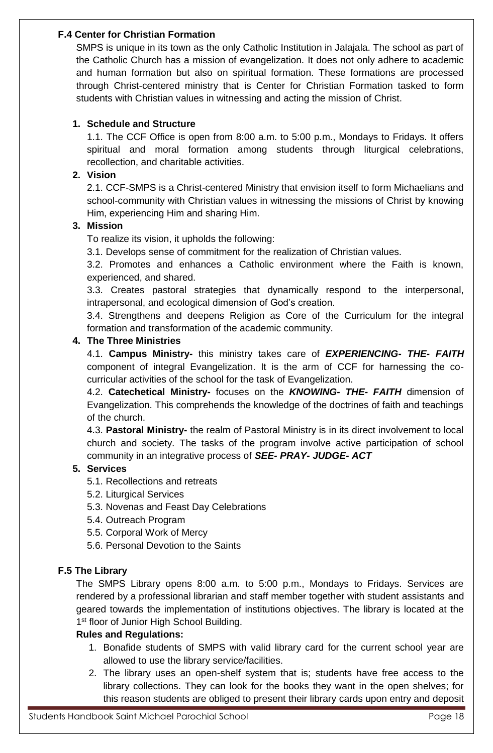## **F.4 Center for Christian Formation**

SMPS is unique in its town as the only Catholic Institution in Jalajala. The school as part of the Catholic Church has a mission of evangelization. It does not only adhere to academic and human formation but also on spiritual formation. These formations are processed through Christ-centered ministry that is Center for Christian Formation tasked to form students with Christian values in witnessing and acting the mission of Christ.

## **1. Schedule and Structure**

1.1. The CCF Office is open from 8:00 a.m. to 5:00 p.m., Mondays to Fridays. It offers spiritual and moral formation among students through liturgical celebrations, recollection, and charitable activities.

## **2. Vision**

2.1. CCF-SMPS is a Christ-centered Ministry that envision itself to form Michaelians and school-community with Christian values in witnessing the missions of Christ by knowing Him, experiencing Him and sharing Him.

## **3. Mission**

To realize its vision, it upholds the following:

3.1. Develops sense of commitment for the realization of Christian values.

3.2. Promotes and enhances a Catholic environment where the Faith is known, experienced, and shared.

3.3. Creates pastoral strategies that dynamically respond to the interpersonal, intrapersonal, and ecological dimension of God's creation.

3.4. Strengthens and deepens Religion as Core of the Curriculum for the integral formation and transformation of the academic community.

## **4. The Three Ministries**

4.1. **Campus Ministry-** this ministry takes care of *EXPERIENCING- THE- FAITH* component of integral Evangelization. It is the arm of CCF for harnessing the cocurricular activities of the school for the task of Evangelization.

4.2. **Catechetical Ministry-** focuses on the *KNOWING- THE- FAITH* dimension of Evangelization. This comprehends the knowledge of the doctrines of faith and teachings of the church.

4.3. **Pastoral Ministry-** the realm of Pastoral Ministry is in its direct involvement to local church and society. The tasks of the program involve active participation of school community in an integrative process of *SEE- PRAY- JUDGE- ACT*

## **5. Services**

- 5.1. Recollections and retreats
- 5.2. Liturgical Services
- 5.3. Novenas and Feast Day Celebrations
- 5.4. Outreach Program
- 5.5. Corporal Work of Mercy
- 5.6. Personal Devotion to the Saints

## **F.5 The Library**

The SMPS Library opens 8:00 a.m. to 5:00 p.m., Mondays to Fridays. Services are rendered by a professional librarian and staff member together with student assistants and geared towards the implementation of institutions objectives. The library is located at the 1<sup>st</sup> floor of Junior High School Building.

## **Rules and Regulations:**

- 1. Bonafide students of SMPS with valid library card for the current school year are allowed to use the library service/facilities.
- 2. The library uses an open-shelf system that is; students have free access to the library collections. They can look for the books they want in the open shelves; for this reason students are obliged to present their library cards upon entry and deposit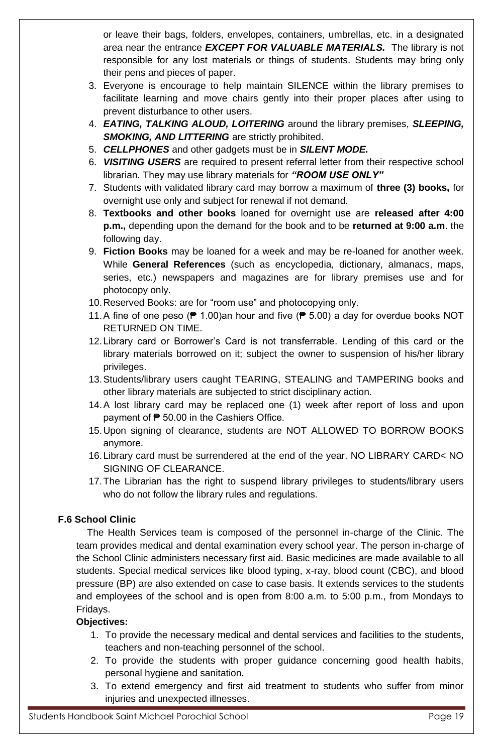or leave their bags, folders, envelopes, containers, umbrellas, etc. in a designated area near the entrance *EXCEPT FOR VALUABLE MATERIALS.* The library is not responsible for any lost materials or things of students. Students may bring only their pens and pieces of paper.

- 3. Everyone is encourage to help maintain SILENCE within the library premises to facilitate learning and move chairs gently into their proper places after using to prevent disturbance to other users.
- 4. *EATING, TALKING ALOUD, LOITERING* around the library premises, *SLEEPING,*  **SMOKING, AND LITTERING** are strictly prohibited.
- 5. *CELLPHONES* and other gadgets must be in *SILENT MODE.*
- 6. *VISITING USERS* are required to present referral letter from their respective school librarian. They may use library materials for *"ROOM USE ONLY"*
- 7. Students with validated library card may borrow a maximum of **three (3) books,** for overnight use only and subject for renewal if not demand.
- 8. **Textbooks and other books** loaned for overnight use are **released after 4:00 p.m.,** depending upon the demand for the book and to be **returned at 9:00 a.m**. the following day.
- 9. **Fiction Books** may be loaned for a week and may be re-loaned for another week. While **General References** (such as encyclopedia, dictionary, almanacs, maps, series, etc.) newspapers and magazines are for library premises use and for photocopy only.
- 10.Reserved Books: are for "room use" and photocopying only.
- 11. A fine of one peso ( $\neq$  1.00)an hour and five ( $\neq$  5.00) a day for overdue books NOT RETURNED ON TIME.
- 12.Library card or Borrower's Card is not transferrable. Lending of this card or the library materials borrowed on it; subject the owner to suspension of his/her library privileges.
- 13.Students/library users caught TEARING, STEALING and TAMPERING books and other library materials are subjected to strict disciplinary action.
- 14.A lost library card may be replaced one (1) week after report of loss and upon payment of  $\overline{P}$  50.00 in the Cashiers Office.
- 15.Upon signing of clearance, students are NOT ALLOWED TO BORROW BOOKS anymore.
- 16.Library card must be surrendered at the end of the year. NO LIBRARY CARD< NO SIGNING OF CLEARANCE.
- 17.The Librarian has the right to suspend library privileges to students/library users who do not follow the library rules and regulations.

## **F.6 School Clinic**

The Health Services team is composed of the personnel in-charge of the Clinic. The team provides medical and dental examination every school year. The person in-charge of the School Clinic administers necessary first aid. Basic medicines are made available to all students. Special medical services like blood typing, x-ray, blood count (CBC), and blood pressure (BP) are also extended on case to case basis. It extends services to the students and employees of the school and is open from 8:00 a.m. to 5:00 p.m., from Mondays to Fridays.

## **Objectives:**

- 1. To provide the necessary medical and dental services and facilities to the students, teachers and non-teaching personnel of the school.
- 2. To provide the students with proper guidance concerning good health habits, personal hygiene and sanitation.
- 3. To extend emergency and first aid treatment to students who suffer from minor injuries and unexpected illnesses.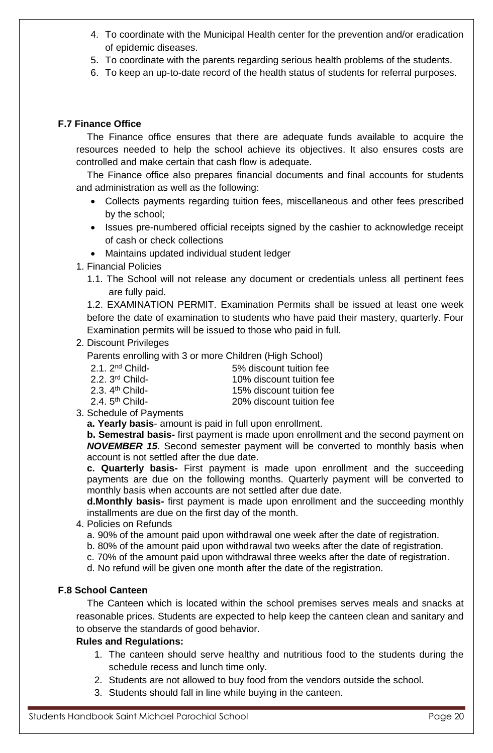- 4. To coordinate with the Municipal Health center for the prevention and/or eradication of epidemic diseases.
- 5. To coordinate with the parents regarding serious health problems of the students.
- 6. To keep an up-to-date record of the health status of students for referral purposes.

## **F.7 Finance Office**

The Finance office ensures that there are adequate funds available to acquire the resources needed to help the school achieve its objectives. It also ensures costs are controlled and make certain that cash flow is adequate.

The Finance office also prepares financial documents and final accounts for students and administration as well as the following:

- Collects payments regarding tuition fees, miscellaneous and other fees prescribed by the school;
- Issues pre-numbered official receipts signed by the cashier to acknowledge receipt of cash or check collections
- Maintains updated individual student ledger
- 1. Financial Policies
	- 1.1. The School will not release any document or credentials unless all pertinent fees are fully paid.

1.2. EXAMINATION PERMIT. Examination Permits shall be issued at least one week before the date of examination to students who have paid their mastery, quarterly. Four Examination permits will be issued to those who paid in full.

## 2. Discount Privileges

Parents enrolling with 3 or more Children (High School)

| $2.1.2nd$ Child-            | 5% discount tuition fee  |
|-----------------------------|--------------------------|
| 2.2. 3 <sup>rd</sup> Child- | 10% discount tuition fee |
| 2.3. 4 <sup>th</sup> Child- | 15% discount tuition fee |
| 2.4. 5 <sup>th</sup> Child- | 20% discount tuition fee |
|                             |                          |

3. Schedule of Payments

**a. Yearly basis**- amount is paid in full upon enrollment.

**b. Semestral basis-** first payment is made upon enrollment and the second payment on *NOVEMBER 15*. Second semester payment will be converted to monthly basis when account is not settled after the due date.

**c. Quarterly basis-** First payment is made upon enrollment and the succeeding payments are due on the following months. Quarterly payment will be converted to monthly basis when accounts are not settled after due date.

**d.Monthly basis-** first payment is made upon enrollment and the succeeding monthly installments are due on the first day of the month.

- 4. Policies on Refunds
	- a. 90% of the amount paid upon withdrawal one week after the date of registration.
	- b. 80% of the amount paid upon withdrawal two weeks after the date of registration.
	- c. 70% of the amount paid upon withdrawal three weeks after the date of registration.
	- d. No refund will be given one month after the date of the registration.

## **F.8 School Canteen**

The Canteen which is located within the school premises serves meals and snacks at reasonable prices. Students are expected to help keep the canteen clean and sanitary and to observe the standards of good behavior.

## **Rules and Regulations:**

- 1. The canteen should serve healthy and nutritious food to the students during the schedule recess and lunch time only.
- 2. Students are not allowed to buy food from the vendors outside the school.
- 3. Students should fall in line while buying in the canteen.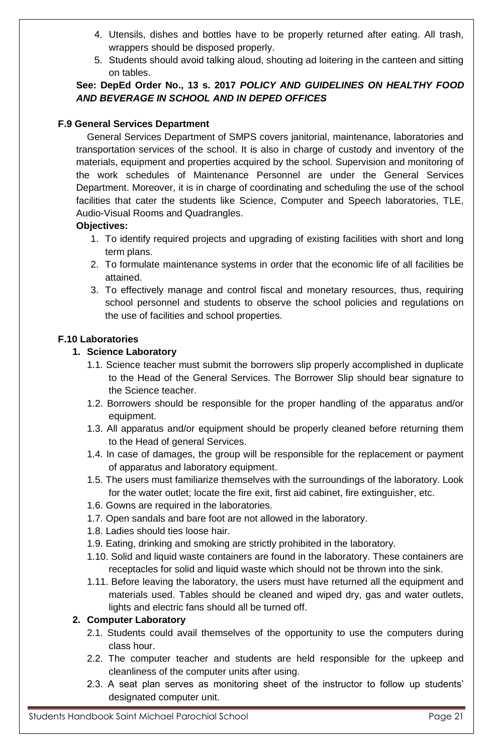- 4. Utensils, dishes and bottles have to be properly returned after eating. All trash, wrappers should be disposed properly.
- 5. Students should avoid talking aloud, shouting ad loitering in the canteen and sitting on tables.

## **See: DepEd Order No., 13 s. 2017** *POLICY AND GUIDELINES ON HEALTHY FOOD AND BEVERAGE IN SCHOOL AND IN DEPED OFFICES*

## **F.9 General Services Department**

General Services Department of SMPS covers janitorial, maintenance, laboratories and transportation services of the school. It is also in charge of custody and inventory of the materials, equipment and properties acquired by the school. Supervision and monitoring of the work schedules of Maintenance Personnel are under the General Services Department. Moreover, it is in charge of coordinating and scheduling the use of the school facilities that cater the students like Science, Computer and Speech laboratories, TLE, Audio-Visual Rooms and Quadrangles.

## **Objectives:**

- 1. To identify required projects and upgrading of existing facilities with short and long term plans.
- 2. To formulate maintenance systems in order that the economic life of all facilities be attained.
- 3. To effectively manage and control fiscal and monetary resources, thus, requiring school personnel and students to observe the school policies and regulations on the use of facilities and school properties.

## **F.10 Laboratories**

## **1. Science Laboratory**

- 1.1. Science teacher must submit the borrowers slip properly accomplished in duplicate to the Head of the General Services. The Borrower Slip should bear signature to the Science teacher.
- 1.2. Borrowers should be responsible for the proper handling of the apparatus and/or equipment.
- 1.3. All apparatus and/or equipment should be properly cleaned before returning them to the Head of general Services.
- 1.4. In case of damages, the group will be responsible for the replacement or payment of apparatus and laboratory equipment.
- 1.5. The users must familiarize themselves with the surroundings of the laboratory. Look for the water outlet; locate the fire exit, first aid cabinet, fire extinguisher, etc.
- 1.6. Gowns are required in the laboratories.
- 1.7. Open sandals and bare foot are not allowed in the laboratory.
- 1.8. Ladies should ties loose hair.
- 1.9. Eating, drinking and smoking are strictly prohibited in the laboratory.
- 1.10. Solid and liquid waste containers are found in the laboratory. These containers are receptacles for solid and liquid waste which should not be thrown into the sink.
- 1.11. Before leaving the laboratory, the users must have returned all the equipment and materials used. Tables should be cleaned and wiped dry, gas and water outlets, lights and electric fans should all be turned off.

## **2. Computer Laboratory**

- 2.1. Students could avail themselves of the opportunity to use the computers during class hour.
- 2.2. The computer teacher and students are held responsible for the upkeep and cleanliness of the computer units after using.
- 2.3. A seat plan serves as monitoring sheet of the instructor to follow up students' designated computer unit.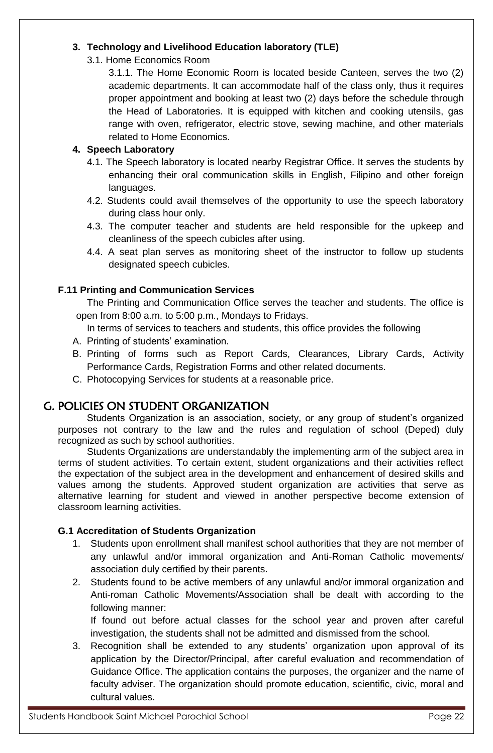## **3. Technology and Livelihood Education laboratory (TLE)**

3.1. Home Economics Room

3.1.1. The Home Economic Room is located beside Canteen, serves the two (2) academic departments. It can accommodate half of the class only, thus it requires proper appointment and booking at least two (2) days before the schedule through the Head of Laboratories. It is equipped with kitchen and cooking utensils, gas range with oven, refrigerator, electric stove, sewing machine, and other materials related to Home Economics.

## **4. Speech Laboratory**

- 4.1. The Speech laboratory is located nearby Registrar Office. It serves the students by enhancing their oral communication skills in English, Filipino and other foreign languages.
- 4.2. Students could avail themselves of the opportunity to use the speech laboratory during class hour only.
- 4.3. The computer teacher and students are held responsible for the upkeep and cleanliness of the speech cubicles after using.
- 4.4. A seat plan serves as monitoring sheet of the instructor to follow up students designated speech cubicles.

## **F.11 Printing and Communication Services**

The Printing and Communication Office serves the teacher and students. The office is open from 8:00 a.m. to 5:00 p.m., Mondays to Fridays.

- In terms of services to teachers and students, this office provides the following
- A. Printing of students' examination.
- B. Printing of forms such as Report Cards, Clearances, Library Cards, Activity Performance Cards, Registration Forms and other related documents.
- C. Photocopying Services for students at a reasonable price.

## G. POLICIES ON STUDENT ORGANIZATION

Students Organization is an association, society, or any group of student's organized purposes not contrary to the law and the rules and regulation of school (Deped) duly recognized as such by school authorities.

Students Organizations are understandably the implementing arm of the subject area in terms of student activities. To certain extent, student organizations and their activities reflect the expectation of the subject area in the development and enhancement of desired skills and values among the students. Approved student organization are activities that serve as alternative learning for student and viewed in another perspective become extension of classroom learning activities.

## **G.1 Accreditation of Students Organization**

- 1. Students upon enrollment shall manifest school authorities that they are not member of any unlawful and/or immoral organization and Anti-Roman Catholic movements/ association duly certified by their parents.
- 2. Students found to be active members of any unlawful and/or immoral organization and Anti-roman Catholic Movements/Association shall be dealt with according to the following manner:

If found out before actual classes for the school year and proven after careful investigation, the students shall not be admitted and dismissed from the school.

3. Recognition shall be extended to any students' organization upon approval of its application by the Director/Principal, after careful evaluation and recommendation of Guidance Office. The application contains the purposes, the organizer and the name of faculty adviser. The organization should promote education, scientific, civic, moral and cultural values.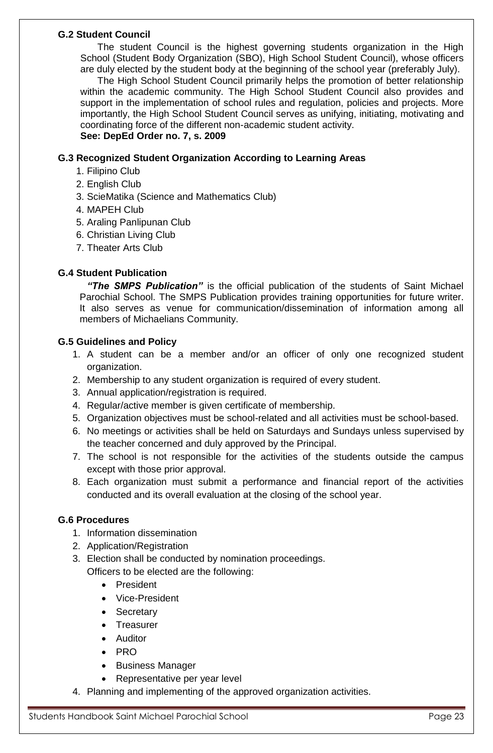## **G.2 Student Council**

The student Council is the highest governing students organization in the High School (Student Body Organization (SBO), High School Student Council), whose officers are duly elected by the student body at the beginning of the school year (preferably July).

The High School Student Council primarily helps the promotion of better relationship within the academic community. The High School Student Council also provides and support in the implementation of school rules and regulation, policies and projects. More importantly, the High School Student Council serves as unifying, initiating, motivating and coordinating force of the different non-academic student activity. **See: DepEd Order no. 7, s. 2009**

## **G.3 Recognized Student Organization According to Learning Areas**

- 1. Filipino Club
- 2. English Club
- 3. ScieMatika (Science and Mathematics Club)
- 4. MAPEH Club
- 5. Araling Panlipunan Club
- 6. Christian Living Club
- 7. Theater Arts Club

## **G.4 Student Publication**

*"The SMPS Publication"* is the official publication of the students of Saint Michael Parochial School. The SMPS Publication provides training opportunities for future writer. It also serves as venue for communication/dissemination of information among all members of Michaelians Community.

## **G.5 Guidelines and Policy**

- 1. A student can be a member and/or an officer of only one recognized student organization.
- 2. Membership to any student organization is required of every student.
- 3. Annual application/registration is required.
- 4. Regular/active member is given certificate of membership.
- 5. Organization objectives must be school-related and all activities must be school-based.
- 6. No meetings or activities shall be held on Saturdays and Sundays unless supervised by the teacher concerned and duly approved by the Principal.
- 7. The school is not responsible for the activities of the students outside the campus except with those prior approval.
- 8. Each organization must submit a performance and financial report of the activities conducted and its overall evaluation at the closing of the school year.

## **G.6 Procedures**

- 1. Information dissemination
- 2. Application/Registration
- 3. Election shall be conducted by nomination proceedings. Officers to be elected are the following:
	- President
	- Vice-President
	- Secretary
	- Treasurer
	- Auditor
	- PRO
	- Business Manager
	- Representative per year level
- 4. Planning and implementing of the approved organization activities.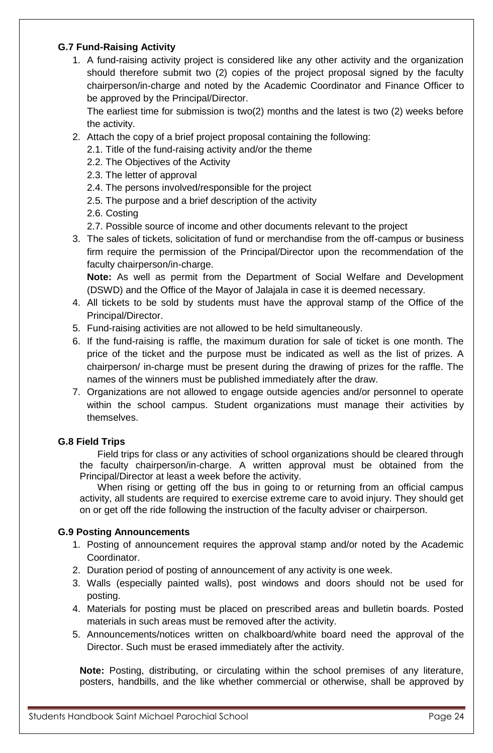## **G.7 Fund-Raising Activity**

1. A fund-raising activity project is considered like any other activity and the organization should therefore submit two (2) copies of the project proposal signed by the faculty chairperson/in-charge and noted by the Academic Coordinator and Finance Officer to be approved by the Principal/Director.

The earliest time for submission is two(2) months and the latest is two (2) weeks before the activity.

- 2. Attach the copy of a brief project proposal containing the following:
	- 2.1. Title of the fund-raising activity and/or the theme
	- 2.2. The Objectives of the Activity
	- 2.3. The letter of approval
	- 2.4. The persons involved/responsible for the project
	- 2.5. The purpose and a brief description of the activity
	- 2.6. Costing
	- 2.7. Possible source of income and other documents relevant to the project
- 3. The sales of tickets, solicitation of fund or merchandise from the off-campus or business firm require the permission of the Principal/Director upon the recommendation of the faculty chairperson/in-charge.

**Note:** As well as permit from the Department of Social Welfare and Development (DSWD) and the Office of the Mayor of Jalajala in case it is deemed necessary.

- 4. All tickets to be sold by students must have the approval stamp of the Office of the Principal/Director.
- 5. Fund-raising activities are not allowed to be held simultaneously.
- 6. If the fund-raising is raffle, the maximum duration for sale of ticket is one month. The price of the ticket and the purpose must be indicated as well as the list of prizes. A chairperson/ in-charge must be present during the drawing of prizes for the raffle. The names of the winners must be published immediately after the draw.
- 7. Organizations are not allowed to engage outside agencies and/or personnel to operate within the school campus. Student organizations must manage their activities by themselves.

## **G.8 Field Trips**

Field trips for class or any activities of school organizations should be cleared through the faculty chairperson/in-charge. A written approval must be obtained from the Principal/Director at least a week before the activity.

When rising or getting off the bus in going to or returning from an official campus activity, all students are required to exercise extreme care to avoid injury. They should get on or get off the ride following the instruction of the faculty adviser or chairperson.

## **G.9 Posting Announcements**

- 1. Posting of announcement requires the approval stamp and/or noted by the Academic Coordinator.
- 2. Duration period of posting of announcement of any activity is one week.
- 3. Walls (especially painted walls), post windows and doors should not be used for posting.
- 4. Materials for posting must be placed on prescribed areas and bulletin boards. Posted materials in such areas must be removed after the activity.
- 5. Announcements/notices written on chalkboard/white board need the approval of the Director. Such must be erased immediately after the activity.

**Note:** Posting, distributing, or circulating within the school premises of any literature, posters, handbills, and the like whether commercial or otherwise, shall be approved by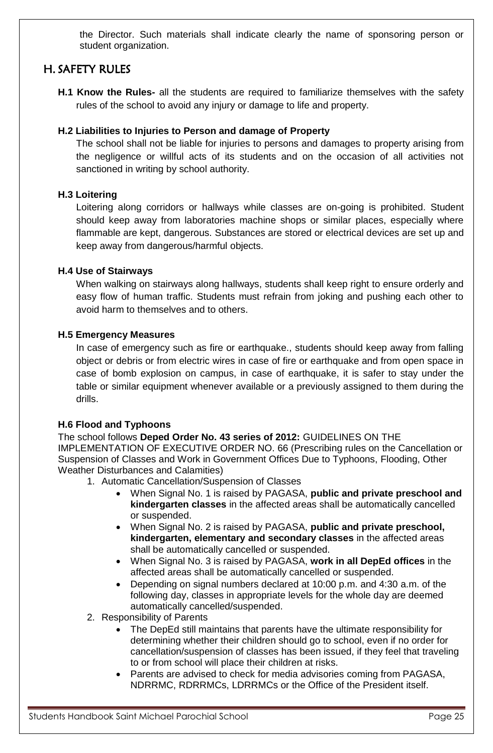the Director. Such materials shall indicate clearly the name of sponsoring person or student organization.

## H. SAFETY RULES

**H.1 Know the Rules-** all the students are required to familiarize themselves with the safety rules of the school to avoid any injury or damage to life and property.

## **H.2 Liabilities to Injuries to Person and damage of Property**

The school shall not be liable for injuries to persons and damages to property arising from the negligence or willful acts of its students and on the occasion of all activities not sanctioned in writing by school authority.

## **H.3 Loitering**

Loitering along corridors or hallways while classes are on-going is prohibited. Student should keep away from laboratories machine shops or similar places, especially where flammable are kept, dangerous. Substances are stored or electrical devices are set up and keep away from dangerous/harmful objects.

## **H.4 Use of Stairways**

When walking on stairways along hallways, students shall keep right to ensure orderly and easy flow of human traffic. Students must refrain from joking and pushing each other to avoid harm to themselves and to others.

## **H.5 Emergency Measures**

In case of emergency such as fire or earthquake., students should keep away from falling object or debris or from electric wires in case of fire or earthquake and from open space in case of bomb explosion on campus, in case of earthquake, it is safer to stay under the table or similar equipment whenever available or a previously assigned to them during the drills.

## **H.6 Flood and Typhoons**

The school follows **Deped Order No. 43 series of 2012:** GUIDELINES ON THE IMPLEMENTATION OF EXECUTIVE ORDER NO. 66 (Prescribing rules on the Cancellation or Suspension of Classes and Work in Government Offices Due to Typhoons, Flooding, Other Weather Disturbances and Calamities)

- 1. Automatic Cancellation/Suspension of Classes
	- When Signal No. 1 is raised by PAGASA, **public and private preschool and kindergarten classes** in the affected areas shall be automatically cancelled or suspended.
	- When Signal No. 2 is raised by PAGASA, **public and private preschool, kindergarten, elementary and secondary classes** in the affected areas shall be automatically cancelled or suspended.
	- When Signal No. 3 is raised by PAGASA, **work in all DepEd offices** in the affected areas shall be automatically cancelled or suspended.
	- Depending on signal numbers declared at 10:00 p.m. and 4:30 a.m. of the following day, classes in appropriate levels for the whole day are deemed automatically cancelled/suspended.
- 2. Responsibility of Parents
	- The DepEd still maintains that parents have the ultimate responsibility for determining whether their children should go to school, even if no order for cancellation/suspension of classes has been issued, if they feel that traveling to or from school will place their children at risks.
	- Parents are advised to check for media advisories coming from PAGASA, NDRRMC, RDRRMCs, LDRRMCs or the Office of the President itself.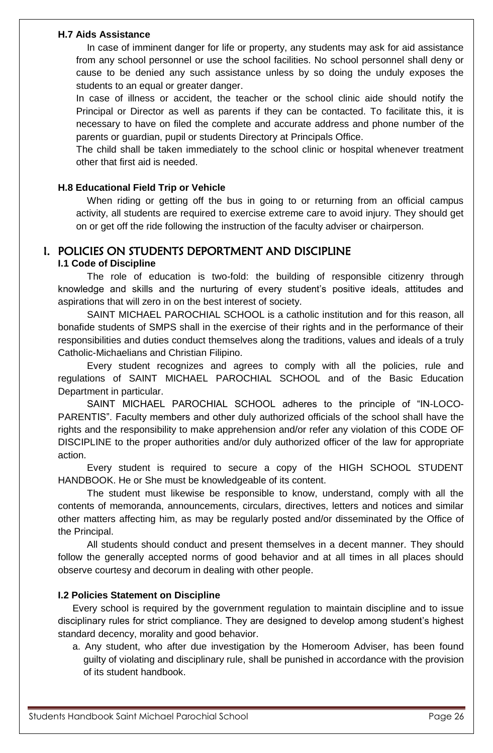#### **H.7 Aids Assistance**

In case of imminent danger for life or property, any students may ask for aid assistance from any school personnel or use the school facilities. No school personnel shall deny or cause to be denied any such assistance unless by so doing the unduly exposes the students to an equal or greater danger.

In case of illness or accident, the teacher or the school clinic aide should notify the Principal or Director as well as parents if they can be contacted. To facilitate this, it is necessary to have on filed the complete and accurate address and phone number of the parents or guardian, pupil or students Directory at Principals Office.

The child shall be taken immediately to the school clinic or hospital whenever treatment other that first aid is needed.

#### **H.8 Educational Field Trip or Vehicle**

When riding or getting off the bus in going to or returning from an official campus activity, all students are required to exercise extreme care to avoid injury. They should get on or get off the ride following the instruction of the faculty adviser or chairperson.

## I. POLICIES ON STUDENTS DEPORTMENT AND DISCIPLINE

## **I.1 Code of Discipline**

The role of education is two-fold: the building of responsible citizenry through knowledge and skills and the nurturing of every student's positive ideals, attitudes and aspirations that will zero in on the best interest of society.

SAINT MICHAEL PAROCHIAL SCHOOL is a catholic institution and for this reason, all bonafide students of SMPS shall in the exercise of their rights and in the performance of their responsibilities and duties conduct themselves along the traditions, values and ideals of a truly Catholic-Michaelians and Christian Filipino.

Every student recognizes and agrees to comply with all the policies, rule and regulations of SAINT MICHAEL PAROCHIAL SCHOOL and of the Basic Education Department in particular.

SAINT MICHAEL PAROCHIAL SCHOOL adheres to the principle of "IN-LOCO-PARENTIS". Faculty members and other duly authorized officials of the school shall have the rights and the responsibility to make apprehension and/or refer any violation of this CODE OF DISCIPLINE to the proper authorities and/or duly authorized officer of the law for appropriate action.

Every student is required to secure a copy of the HIGH SCHOOL STUDENT HANDBOOK. He or She must be knowledgeable of its content.

The student must likewise be responsible to know, understand, comply with all the contents of memoranda, announcements, circulars, directives, letters and notices and similar other matters affecting him, as may be regularly posted and/or disseminated by the Office of the Principal.

All students should conduct and present themselves in a decent manner. They should follow the generally accepted norms of good behavior and at all times in all places should observe courtesy and decorum in dealing with other people.

## **I.2 Policies Statement on Discipline**

Every school is required by the government regulation to maintain discipline and to issue disciplinary rules for strict compliance. They are designed to develop among student's highest standard decency, morality and good behavior.

a. Any student, who after due investigation by the Homeroom Adviser, has been found guilty of violating and disciplinary rule, shall be punished in accordance with the provision of its student handbook.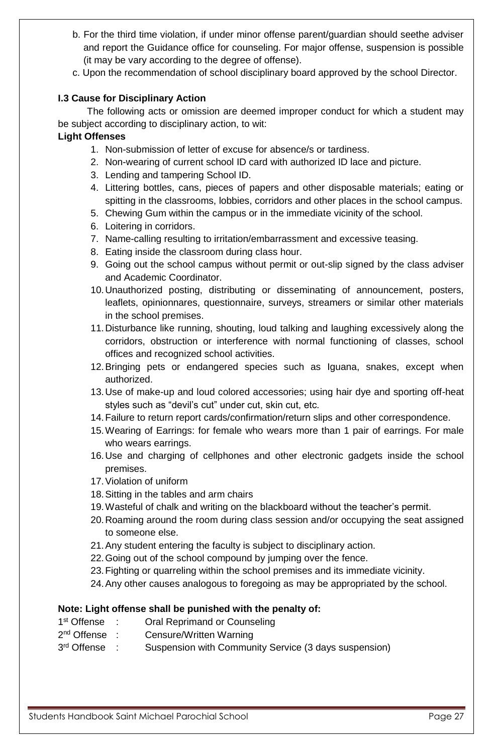- b. For the third time violation, if under minor offense parent/guardian should seethe adviser and report the Guidance office for counseling. For major offense, suspension is possible (it may be vary according to the degree of offense).
- c. Upon the recommendation of school disciplinary board approved by the school Director.

## **I.3 Cause for Disciplinary Action**

The following acts or omission are deemed improper conduct for which a student may be subject according to disciplinary action, to wit:

## **Light Offenses**

- 1. Non-submission of letter of excuse for absence/s or tardiness.
- 2. Non-wearing of current school ID card with authorized ID lace and picture.
- 3. Lending and tampering School ID.
- 4. Littering bottles, cans, pieces of papers and other disposable materials; eating or spitting in the classrooms, lobbies, corridors and other places in the school campus.
- 5. Chewing Gum within the campus or in the immediate vicinity of the school.
- 6. Loitering in corridors.
- 7. Name-calling resulting to irritation/embarrassment and excessive teasing.
- 8. Eating inside the classroom during class hour.
- 9. Going out the school campus without permit or out-slip signed by the class adviser and Academic Coordinator.
- 10.Unauthorized posting, distributing or disseminating of announcement, posters, leaflets, opinionnares, questionnaire, surveys, streamers or similar other materials in the school premises.
- 11.Disturbance like running, shouting, loud talking and laughing excessively along the corridors, obstruction or interference with normal functioning of classes, school offices and recognized school activities.
- 12.Bringing pets or endangered species such as Iguana, snakes, except when authorized.
- 13.Use of make-up and loud colored accessories; using hair dye and sporting off-heat styles such as "devil's cut" under cut, skin cut, etc.
- 14.Failure to return report cards/confirmation/return slips and other correspondence.
- 15.Wearing of Earrings: for female who wears more than 1 pair of earrings. For male who wears earrings.
- 16.Use and charging of cellphones and other electronic gadgets inside the school premises.
- 17.Violation of uniform
- 18.Sitting in the tables and arm chairs
- 19.Wasteful of chalk and writing on the blackboard without the teacher's permit.
- 20.Roaming around the room during class session and/or occupying the seat assigned to someone else.
- 21.Any student entering the faculty is subject to disciplinary action.
- 22.Going out of the school compound by jumping over the fence.
- 23.Fighting or quarreling within the school premises and its immediate vicinity.
- 24.Any other causes analogous to foregoing as may be appropriated by the school.

## **Note: Light offense shall be punished with the penalty of:**

- 1<sup>st</sup> Offense : Oral Reprimand or Counseling
- $2<sup>nd</sup>$  Offense : Censure/Written Warning
- 3rd Offense : Suspension with Community Service (3 days suspension)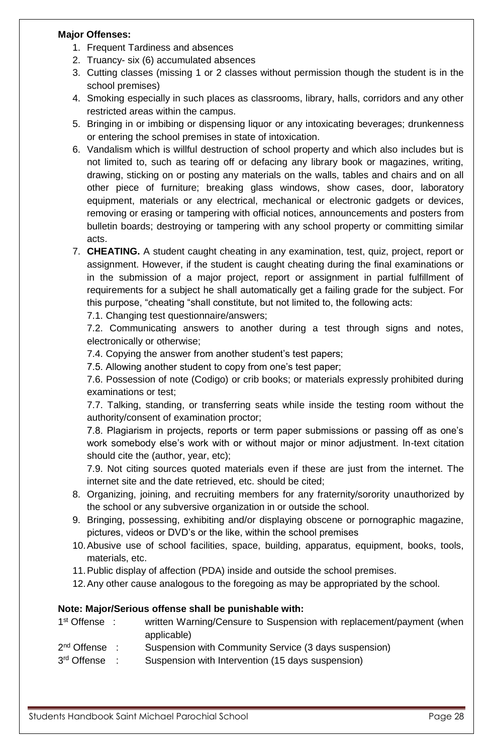#### **Major Offenses:**

- 1. Frequent Tardiness and absences
- 2. Truancy- six (6) accumulated absences
- 3. Cutting classes (missing 1 or 2 classes without permission though the student is in the school premises)
- 4. Smoking especially in such places as classrooms, library, halls, corridors and any other restricted areas within the campus.
- 5. Bringing in or imbibing or dispensing liquor or any intoxicating beverages; drunkenness or entering the school premises in state of intoxication.
- 6. Vandalism which is willful destruction of school property and which also includes but is not limited to, such as tearing off or defacing any library book or magazines, writing, drawing, sticking on or posting any materials on the walls, tables and chairs and on all other piece of furniture; breaking glass windows, show cases, door, laboratory equipment, materials or any electrical, mechanical or electronic gadgets or devices, removing or erasing or tampering with official notices, announcements and posters from bulletin boards; destroying or tampering with any school property or committing similar acts.
- 7. **CHEATING.** A student caught cheating in any examination, test, quiz, project, report or assignment. However, if the student is caught cheating during the final examinations or in the submission of a major project, report or assignment in partial fulfillment of requirements for a subject he shall automatically get a failing grade for the subject. For this purpose, "cheating "shall constitute, but not limited to, the following acts:

7.1. Changing test questionnaire/answers;

7.2. Communicating answers to another during a test through signs and notes, electronically or otherwise;

7.4. Copying the answer from another student's test papers;

7.5. Allowing another student to copy from one's test paper;

7.6. Possession of note (Codigo) or crib books; or materials expressly prohibited during examinations or test;

7.7. Talking, standing, or transferring seats while inside the testing room without the authority/consent of examination proctor;

7.8. Plagiarism in projects, reports or term paper submissions or passing off as one's work somebody else's work with or without major or minor adjustment. In-text citation should cite the (author, year, etc);

7.9. Not citing sources quoted materials even if these are just from the internet. The internet site and the date retrieved, etc. should be cited;

- 8. Organizing, joining, and recruiting members for any fraternity/sorority unauthorized by the school or any subversive organization in or outside the school.
- 9. Bringing, possessing, exhibiting and/or displaying obscene or pornographic magazine, pictures, videos or DVD's or the like, within the school premises
- 10.Abusive use of school facilities, space, building, apparatus, equipment, books, tools, materials, etc.
- 11.Public display of affection (PDA) inside and outside the school premises.
- 12.Any other cause analogous to the foregoing as may be appropriated by the school.

#### **Note: Major/Serious offense shall be punishable with:**

| 1 <sup>st</sup> Offense : | written Warning/Censure to Suspension with replacement/payment (when |
|---------------------------|----------------------------------------------------------------------|
|                           | applicable)                                                          |
| 2 <sup>nd</sup> Offense   | Suspension with Community Service (3 days suspension)                |

3rd Offense : Suspension with Intervention (15 days suspension)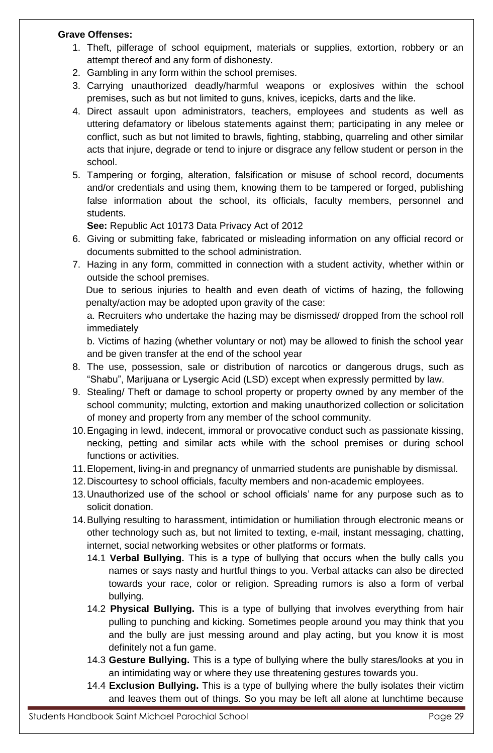#### **Grave Offenses:**

- 1. Theft, pilferage of school equipment, materials or supplies, extortion, robbery or an attempt thereof and any form of dishonesty.
- 2. Gambling in any form within the school premises.
- 3. Carrying unauthorized deadly/harmful weapons or explosives within the school premises, such as but not limited to guns, knives, icepicks, darts and the like.
- 4. Direct assault upon administrators, teachers, employees and students as well as uttering defamatory or libelous statements against them; participating in any melee or conflict, such as but not limited to brawls, fighting, stabbing, quarreling and other similar acts that injure, degrade or tend to injure or disgrace any fellow student or person in the school.
- 5. Tampering or forging, alteration, falsification or misuse of school record, documents and/or credentials and using them, knowing them to be tampered or forged, publishing false information about the school, its officials, faculty members, personnel and students.

**See:** Republic Act 10173 Data Privacy Act of 2012

- 6. Giving or submitting fake, fabricated or misleading information on any official record or documents submitted to the school administration.
- 7. Hazing in any form, committed in connection with a student activity, whether within or outside the school premises.

Due to serious injuries to health and even death of victims of hazing, the following penalty/action may be adopted upon gravity of the case:

a. Recruiters who undertake the hazing may be dismissed/ dropped from the school roll immediately

b. Victims of hazing (whether voluntary or not) may be allowed to finish the school year and be given transfer at the end of the school year

- 8. The use, possession, sale or distribution of narcotics or dangerous drugs, such as "Shabu", Marijuana or Lysergic Acid (LSD) except when expressly permitted by law.
- 9. Stealing/ Theft or damage to school property or property owned by any member of the school community; mulcting, extortion and making unauthorized collection or solicitation of money and property from any member of the school community.
- 10.Engaging in lewd, indecent, immoral or provocative conduct such as passionate kissing, necking, petting and similar acts while with the school premises or during school functions or activities.
- 11.Elopement, living-in and pregnancy of unmarried students are punishable by dismissal.
- 12.Discourtesy to school officials, faculty members and non-academic employees.
- 13.Unauthorized use of the school or school officials' name for any purpose such as to solicit donation.
- 14.Bullying resulting to harassment, intimidation or humiliation through electronic means or other technology such as, but not limited to texting, e-mail, instant messaging, chatting, internet, social networking websites or other platforms or formats.
	- 14.1 **Verbal Bullying.** This is a type of bullying that occurs when the bully calls you names or says nasty and hurtful things to you. Verbal attacks can also be directed towards your race, color or religion. Spreading rumors is also a form of verbal bullying.
	- 14.2 **Physical Bullying.** This is a type of bullying that involves everything from hair pulling to punching and kicking. Sometimes people around you may think that you and the bully are just messing around and play acting, but you know it is most definitely not a fun game.
	- 14.3 **Gesture Bullying.** This is a type of bullying where the bully stares/looks at you in an intimidating way or where they use threatening gestures towards you.
	- 14.4 **Exclusion Bullying.** This is a type of bullying where the bully isolates their victim and leaves them out of things. So you may be left all alone at lunchtime because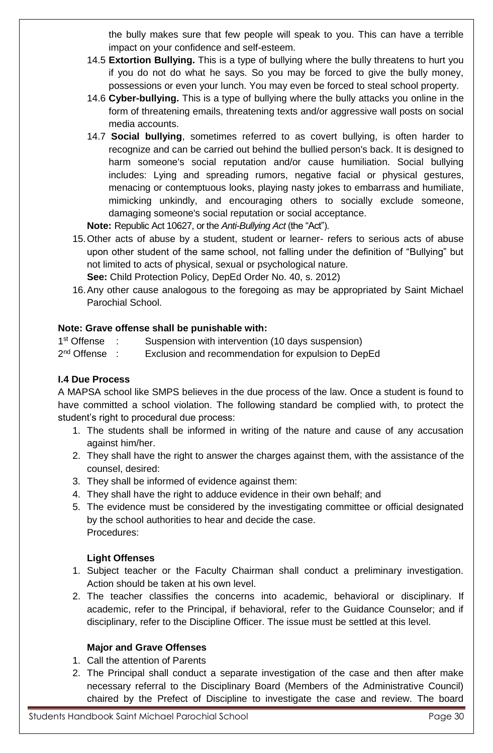the bully makes sure that few people will speak to you. This can have a terrible impact on your confidence and self-esteem.

- 14.5 **Extortion Bullying.** This is a type of bullying where the bully threatens to hurt you if you do not do what he says. So you may be forced to give the bully money, possessions or even your lunch. You may even be forced to steal school property.
- 14.6 **Cyber-bullying.** This is a type of bullying where the bully attacks you online in the form of threatening emails, threatening texts and/or aggressive wall posts on social media accounts.
- 14.7 **Social bullying**, sometimes referred to as covert bullying, is often harder to recognize and can be carried out behind the bullied person's back. It is designed to harm someone's social reputation and/or cause humiliation. Social bullying includes: Lying and spreading rumors, negative facial or physical gestures, menacing or contemptuous looks, playing nasty jokes to embarrass and humiliate, mimicking unkindly, and encouraging others to socially exclude someone, damaging someone's social reputation or social acceptance.

**Note:** Republic Act 10627, or the *Anti-Bullying Act* (the "Act").

- 15.Other acts of abuse by a student, student or learner- refers to serious acts of abuse upon other student of the same school, not falling under the definition of "Bullying" but not limited to acts of physical, sexual or psychological nature. **See:** Child Protection Policy, DepEd Order No. 40, s. 2012)
- 16.Any other cause analogous to the foregoing as may be appropriated by Saint Michael Parochial School.

## **Note: Grave offense shall be punishable with:**

1<sup>st</sup> Offense : Suspension with intervention (10 days suspension)

2<sup>nd</sup> Offense : Exclusion and recommendation for expulsion to DepEd

## **I.4 Due Process**

A MAPSA school like SMPS believes in the due process of the law. Once a student is found to have committed a school violation. The following standard be complied with, to protect the student's right to procedural due process:

- 1. The students shall be informed in writing of the nature and cause of any accusation against him/her.
- 2. They shall have the right to answer the charges against them, with the assistance of the counsel, desired:
- 3. They shall be informed of evidence against them:
- 4. They shall have the right to adduce evidence in their own behalf; and
- 5. The evidence must be considered by the investigating committee or official designated by the school authorities to hear and decide the case. Procedures:

## **Light Offenses**

- 1. Subject teacher or the Faculty Chairman shall conduct a preliminary investigation. Action should be taken at his own level.
- 2. The teacher classifies the concerns into academic, behavioral or disciplinary. If academic, refer to the Principal, if behavioral, refer to the Guidance Counselor; and if disciplinary, refer to the Discipline Officer. The issue must be settled at this level.

## **Major and Grave Offenses**

- 1. Call the attention of Parents
- 2. The Principal shall conduct a separate investigation of the case and then after make necessary referral to the Disciplinary Board (Members of the Administrative Council) chaired by the Prefect of Discipline to investigate the case and review. The board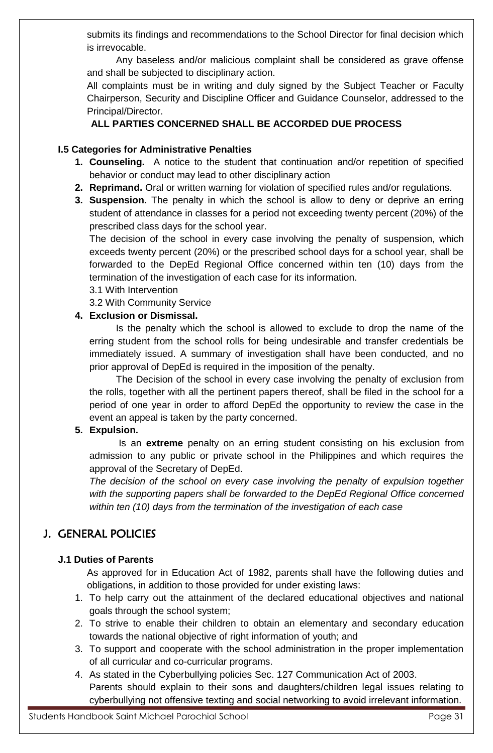submits its findings and recommendations to the School Director for final decision which is irrevocable.

Any baseless and/or malicious complaint shall be considered as grave offense and shall be subjected to disciplinary action.

All complaints must be in writing and duly signed by the Subject Teacher or Faculty Chairperson, Security and Discipline Officer and Guidance Counselor, addressed to the Principal/Director.

## **ALL PARTIES CONCERNED SHALL BE ACCORDED DUE PROCESS**

## **I.5 Categories for Administrative Penalties**

- **1. Counseling.** A notice to the student that continuation and/or repetition of specified behavior or conduct may lead to other disciplinary action
- **2. Reprimand.** Oral or written warning for violation of specified rules and/or regulations.
- **3. Suspension.** The penalty in which the school is allow to deny or deprive an erring student of attendance in classes for a period not exceeding twenty percent (20%) of the prescribed class days for the school year.

The decision of the school in every case involving the penalty of suspension, which exceeds twenty percent (20%) or the prescribed school days for a school year, shall be forwarded to the DepEd Regional Office concerned within ten (10) days from the termination of the investigation of each case for its information.

3.1 With Intervention

3.2 With Community Service

## **4. Exclusion or Dismissal.**

Is the penalty which the school is allowed to exclude to drop the name of the erring student from the school rolls for being undesirable and transfer credentials be immediately issued. A summary of investigation shall have been conducted, and no prior approval of DepEd is required in the imposition of the penalty.

The Decision of the school in every case involving the penalty of exclusion from the rolls, together with all the pertinent papers thereof, shall be filed in the school for a period of one year in order to afford DepEd the opportunity to review the case in the event an appeal is taken by the party concerned.

## **5. Expulsion.**

Is an **extreme** penalty on an erring student consisting on his exclusion from admission to any public or private school in the Philippines and which requires the approval of the Secretary of DepEd.

*The decision of the school on every case involving the penalty of expulsion together with the supporting papers shall be forwarded to the DepEd Regional Office concerned within ten (10) days from the termination of the investigation of each case*

# J. GENERAL POLICIES

## **J.1 Duties of Parents**

As approved for in Education Act of 1982, parents shall have the following duties and obligations, in addition to those provided for under existing laws:

- 1. To help carry out the attainment of the declared educational objectives and national goals through the school system;
- 2. To strive to enable their children to obtain an elementary and secondary education towards the national objective of right information of youth; and
- 3. To support and cooperate with the school administration in the proper implementation of all curricular and co-curricular programs.
- 4. As stated in the Cyberbullying policies Sec. 127 Communication Act of 2003. Parents should explain to their sons and daughters/children legal issues relating to cyberbullying not offensive texting and social networking to avoid irrelevant information.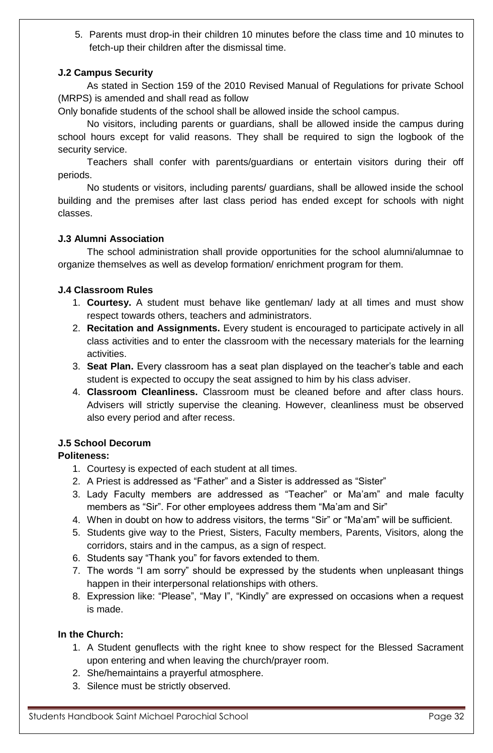5. Parents must drop-in their children 10 minutes before the class time and 10 minutes to fetch-up their children after the dismissal time.

## **J.2 Campus Security**

As stated in Section 159 of the 2010 Revised Manual of Regulations for private School (MRPS) is amended and shall read as follow

Only bonafide students of the school shall be allowed inside the school campus.

No visitors, including parents or guardians, shall be allowed inside the campus during school hours except for valid reasons. They shall be required to sign the logbook of the security service.

Teachers shall confer with parents/guardians or entertain visitors during their off periods.

No students or visitors, including parents/ guardians, shall be allowed inside the school building and the premises after last class period has ended except for schools with night classes.

## **J.3 Alumni Association**

The school administration shall provide opportunities for the school alumni/alumnae to organize themselves as well as develop formation/ enrichment program for them.

## **J.4 Classroom Rules**

- 1. **Courtesy.** A student must behave like gentleman/ lady at all times and must show respect towards others, teachers and administrators.
- 2. **Recitation and Assignments.** Every student is encouraged to participate actively in all class activities and to enter the classroom with the necessary materials for the learning activities.
- 3. **Seat Plan.** Every classroom has a seat plan displayed on the teacher's table and each student is expected to occupy the seat assigned to him by his class adviser.
- 4. **Classroom Cleanliness.** Classroom must be cleaned before and after class hours. Advisers will strictly supervise the cleaning. However, cleanliness must be observed also every period and after recess.

## **J.5 School Decorum**

## **Politeness:**

- 1. Courtesy is expected of each student at all times.
- 2. A Priest is addressed as "Father" and a Sister is addressed as "Sister"
- 3. Lady Faculty members are addressed as "Teacher" or Ma'am" and male faculty members as "Sir". For other employees address them "Ma'am and Sir"
- 4. When in doubt on how to address visitors, the terms "Sir" or "Ma'am" will be sufficient.
- 5. Students give way to the Priest, Sisters, Faculty members, Parents, Visitors, along the corridors, stairs and in the campus, as a sign of respect.
- 6. Students say "Thank you" for favors extended to them.
- 7. The words "I am sorry" should be expressed by the students when unpleasant things happen in their interpersonal relationships with others.
- 8. Expression like: "Please", "May I", "Kindly" are expressed on occasions when a request is made.

## **In the Church:**

- 1. A Student genuflects with the right knee to show respect for the Blessed Sacrament upon entering and when leaving the church/prayer room.
- 2. She/hemaintains a prayerful atmosphere.
- 3. Silence must be strictly observed.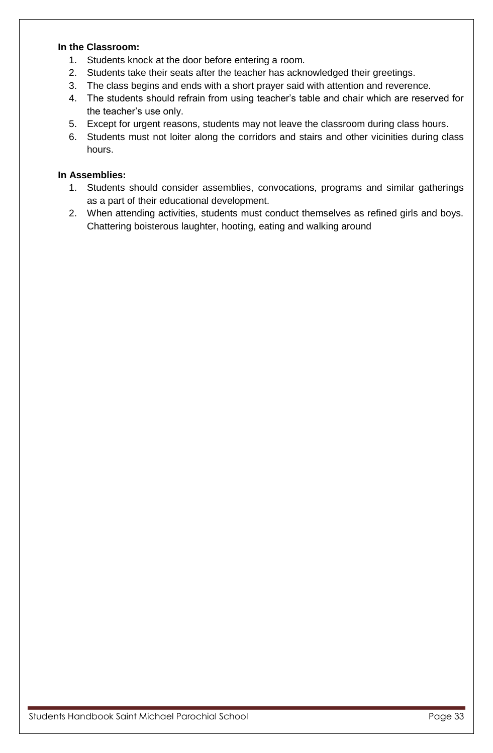## **In the Classroom:**

- 1. Students knock at the door before entering a room.
- 2. Students take their seats after the teacher has acknowledged their greetings.
- 3. The class begins and ends with a short prayer said with attention and reverence.
- 4. The students should refrain from using teacher's table and chair which are reserved for the teacher's use only.
- 5. Except for urgent reasons, students may not leave the classroom during class hours.
- 6. Students must not loiter along the corridors and stairs and other vicinities during class hours.

## **In Assemblies:**

- 1. Students should consider assemblies, convocations, programs and similar gatherings as a part of their educational development.
- 2. When attending activities, students must conduct themselves as refined girls and boys. Chattering boisterous laughter, hooting, eating and walking around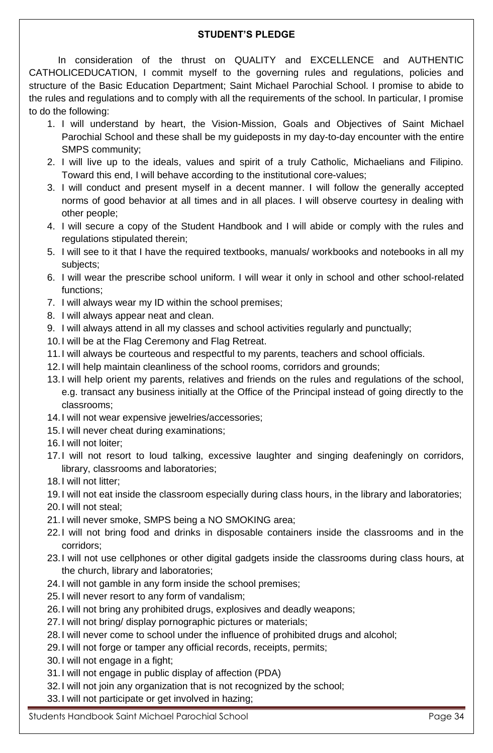## **STUDENT'S PLEDGE**

In consideration of the thrust on QUALITY and EXCELLENCE and AUTHENTIC CATHOLICEDUCATION, I commit myself to the governing rules and regulations, policies and structure of the Basic Education Department; Saint Michael Parochial School. I promise to abide to the rules and regulations and to comply with all the requirements of the school. In particular, I promise to do the following:

- 1. I will understand by heart, the Vision-Mission, Goals and Objectives of Saint Michael Parochial School and these shall be my guideposts in my day-to-day encounter with the entire SMPS community;
- 2. I will live up to the ideals, values and spirit of a truly Catholic, Michaelians and Filipino. Toward this end, I will behave according to the institutional core-values;
- 3. I will conduct and present myself in a decent manner. I will follow the generally accepted norms of good behavior at all times and in all places. I will observe courtesy in dealing with other people;
- 4. I will secure a copy of the Student Handbook and I will abide or comply with the rules and regulations stipulated therein;
- 5. I will see to it that I have the required textbooks, manuals/ workbooks and notebooks in all my subjects;
- 6. I will wear the prescribe school uniform. I will wear it only in school and other school-related functions;
- 7. I will always wear my ID within the school premises;
- 8. I will always appear neat and clean.
- 9. I will always attend in all my classes and school activities regularly and punctually;
- 10.I will be at the Flag Ceremony and Flag Retreat.
- 11.I will always be courteous and respectful to my parents, teachers and school officials.
- 12.I will help maintain cleanliness of the school rooms, corridors and grounds;
- 13.I will help orient my parents, relatives and friends on the rules and regulations of the school, e.g. transact any business initially at the Office of the Principal instead of going directly to the classrooms;
- 14.I will not wear expensive jewelries/accessories;
- 15.I will never cheat during examinations;
- 16.I will not loiter;
- 17.I will not resort to loud talking, excessive laughter and singing deafeningly on corridors, library, classrooms and laboratories;
- 18.I will not litter;
- 19.I will not eat inside the classroom especially during class hours, in the library and laboratories;
- 20.I will not steal;
- 21.I will never smoke, SMPS being a NO SMOKING area;
- 22.I will not bring food and drinks in disposable containers inside the classrooms and in the corridors;
- 23.I will not use cellphones or other digital gadgets inside the classrooms during class hours, at the church, library and laboratories;
- 24.I will not gamble in any form inside the school premises;
- 25.I will never resort to any form of vandalism;
- 26.I will not bring any prohibited drugs, explosives and deadly weapons;
- 27.I will not bring/ display pornographic pictures or materials;
- 28.I will never come to school under the influence of prohibited drugs and alcohol;
- 29.I will not forge or tamper any official records, receipts, permits;
- 30.I will not engage in a fight;
- 31.I will not engage in public display of affection (PDA)
- 32.I will not join any organization that is not recognized by the school;
- 33.I will not participate or get involved in hazing;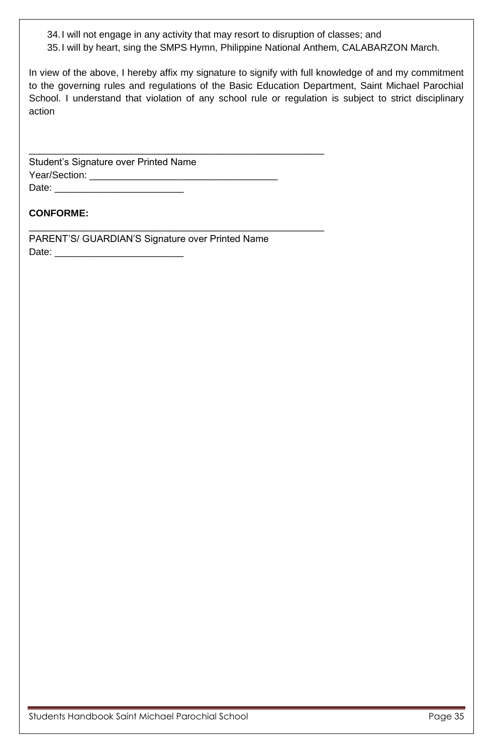34.I will not engage in any activity that may resort to disruption of classes; and 35.I will by heart, sing the SMPS Hymn, Philippine National Anthem, CALABARZON March.

In view of the above, I hereby affix my signature to signify with full knowledge of and my commitment to the governing rules and regulations of the Basic Education Department, Saint Michael Parochial School. I understand that violation of any school rule or regulation is subject to strict disciplinary action

Student's Signature over Printed Name Year/Section: \_\_\_\_\_\_\_\_\_\_\_\_\_\_\_\_\_\_\_\_\_\_\_\_\_\_\_\_\_\_\_\_\_\_\_ Date:

## **CONFORME:**

PARENT'S/ GUARDIAN'S Signature over Printed Name Date: \_\_\_\_\_\_\_\_\_\_\_\_\_\_\_\_\_\_\_\_\_\_\_\_

\_\_\_\_\_\_\_\_\_\_\_\_\_\_\_\_\_\_\_\_\_\_\_\_\_\_\_\_\_\_\_\_\_\_\_\_\_\_\_\_\_\_\_\_\_\_\_\_\_\_\_\_\_\_\_

\_\_\_\_\_\_\_\_\_\_\_\_\_\_\_\_\_\_\_\_\_\_\_\_\_\_\_\_\_\_\_\_\_\_\_\_\_\_\_\_\_\_\_\_\_\_\_\_\_\_\_\_\_\_\_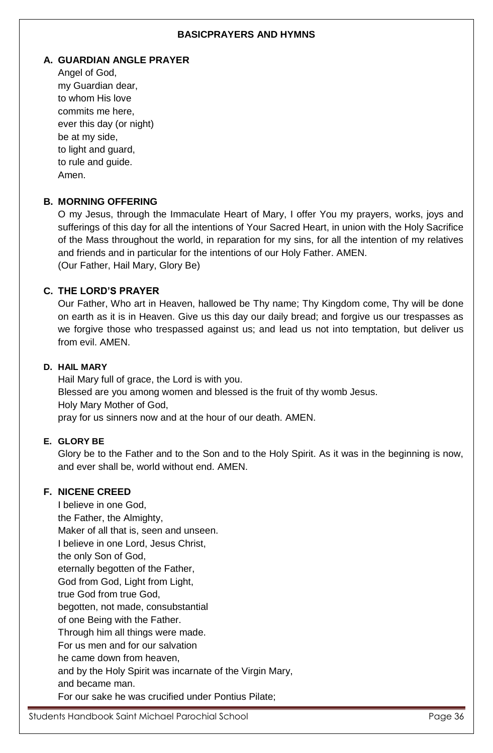## **BASICPRAYERS AND HYMNS**

#### **A. GUARDIAN ANGLE PRAYER**

Angel of God, my Guardian dear, to whom His love commits me here, ever this day (or night) be at my side, to light and guard, to rule and guide. Amen.

## **B. MORNING OFFERING**

O my Jesus, through the Immaculate Heart of Mary, I offer You my prayers, works, joys and sufferings of this day for all the intentions of Your Sacred Heart, in union with the Holy Sacrifice of the Mass throughout the world, in reparation for my sins, for all the intention of my relatives and friends and in particular for the intentions of our Holy Father. AMEN. (Our Father, Hail Mary, Glory Be)

## **C. THE LORD'S PRAYER**

Our Father, Who art in Heaven, hallowed be Thy name; Thy Kingdom come, Thy will be done on earth as it is in Heaven. Give us this day our daily bread; and forgive us our trespasses as we forgive those who trespassed against us; and lead us not into temptation, but deliver us from evil. AMEN.

#### **D. HAIL MARY**

Hail Mary full of grace, the Lord is with you. Blessed are you among women and blessed is the fruit of thy womb Jesus. Holy Mary Mother of God, pray for us sinners now and at the hour of our death. AMEN.

## **E. GLORY BE**

Glory be to the Father and to the Son and to the Holy Spirit. As it was in the beginning is now, and ever shall be, world without end. AMEN.

## **F. NICENE CREED**

I believe in one God, the Father, the Almighty, Maker of all that is, seen and unseen. I believe in one Lord, Jesus Christ, the only Son of God, eternally begotten of the Father, God from God, Light from Light, true God from true God, begotten, not made, consubstantial of one Being with the Father. Through him all things were made. For us men and for our salvation he came down from heaven, and by the Holy Spirit was incarnate of the Virgin Mary, and became man. For our sake he was crucified under Pontius Pilate;

Students Handbook Saint Michael Parochial School **Page 36** Page 36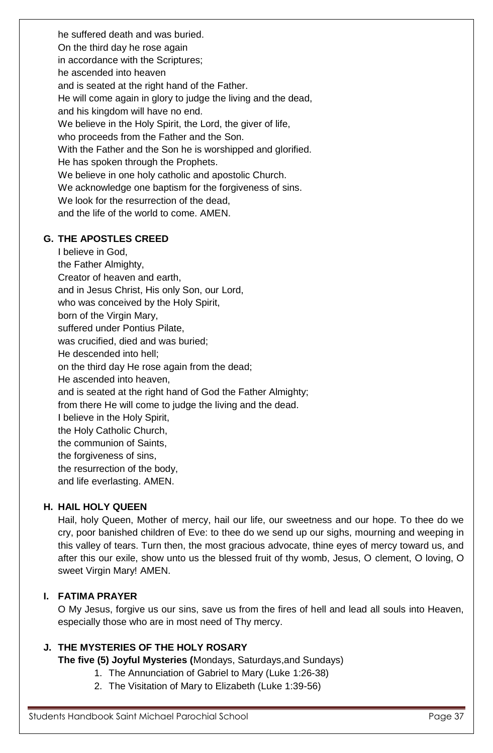he suffered death and was buried. On the third day he rose again in accordance with the Scriptures; he ascended into heaven and is seated at the right hand of the Father. He will come again in glory to judge the living and the dead, and his kingdom will have no end. We believe in the Holy Spirit, the Lord, the giver of life, who proceeds from the Father and the Son. With the Father and the Son he is worshipped and glorified. He has spoken through the Prophets. We believe in one holy catholic and apostolic Church. We acknowledge one baptism for the forgiveness of sins. We look for the resurrection of the dead, and the life of the world to come. AMEN.

## **G. THE APOSTLES CREED**

I believe in God, the Father Almighty, Creator of heaven and earth, and in Jesus Christ, His only Son, our Lord, who was conceived by the Holy Spirit, born of the Virgin Mary, suffered under Pontius Pilate, was crucified, died and was buried; He descended into hell; on the third day He rose again from the dead; He ascended into heaven, and is seated at the right hand of God the Father Almighty; from there He will come to judge the living and the dead. I believe in the Holy Spirit, the Holy Catholic Church, the communion of Saints, the forgiveness of sins, the resurrection of the body, and life everlasting. AMEN.

## **H. HAIL HOLY QUEEN**

Hail, holy Queen, Mother of mercy, hail our life, our sweetness and our hope. To thee do we cry, poor banished children of Eve: to thee do we send up our sighs, mourning and weeping in this valley of tears. Turn then, the most gracious advocate, thine eyes of mercy toward us, and after this our exile, show unto us the blessed fruit of thy womb, Jesus, O clement, O loving, O sweet Virgin Mary! AMEN.

## **I. FATIMA PRAYER**

O My Jesus, forgive us our sins, save us from the fires of hell and lead all souls into Heaven, especially those who are in most need of Thy mercy.

## **J. THE MYSTERIES OF THE HOLY ROSARY**

**The five (5) Joyful Mysteries (**Mondays, Saturdays,and Sundays)

- 1. The Annunciation of Gabriel to Mary (Luke 1:26-38)
- 2. The Visitation of Mary to Elizabeth (Luke 1:39-56)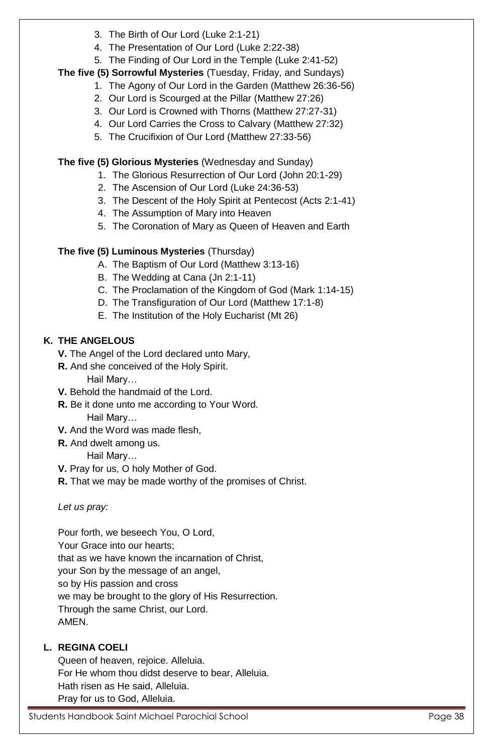- 3. The Birth of Our Lord (Luke 2:1-21)
- 4. The Presentation of Our Lord (Luke 2:22-38)
- 5. The Finding of Our Lord in the Temple (Luke 2:41-52)

## **The five (5) Sorrowful Mysteries** (Tuesday, Friday, and Sundays)

- 1. The Agony of Our Lord in the Garden (Matthew 26:36-56)
- 2. Our Lord is Scourged at the Pillar (Matthew 27:26)
- 3. Our Lord is Crowned with Thorns (Matthew 27:27-31)
- 4. Our Lord Carries the Cross to Calvary (Matthew 27:32)
- 5. The Crucifixion of Our Lord (Matthew 27:33-56)

**The five (5) Glorious Mysteries** (Wednesday and Sunday)

- 1. The Glorious Resurrection of Our Lord (John 20:1-29)
- 2. The Ascension of Our Lord (Luke 24:36-53)
- 3. The Descent of the Holy Spirit at Pentecost (Acts 2:1-41)
- 4. The Assumption of Mary into Heaven
- 5. The Coronation of Mary as Queen of Heaven and Earth

## **The five (5) Luminous Mysteries** (Thursday)

- A. The Baptism of Our Lord (Matthew 3:13-16)
- B. The Wedding at Cana (Jn 2:1-11)
- C. The Proclamation of the Kingdom of God (Mark 1:14-15)
- D. The Transfiguration of Our Lord (Matthew 17:1-8)
- E. The Institution of the Holy Eucharist (Mt 26)

## **K. THE ANGELOUS**

- **V.** The Angel of the Lord declared unto Mary,
- **R.** And she conceived of the Holy Spirit.

Hail Mary…

- **V.** Behold the handmaid of the Lord.
- **R.** Be it done unto me according to Your Word. Hail Mary…
- **V.** And the Word was made flesh,
- **R.** And dwelt among us.

Hail Mary…

- **V.** Pray for us, O holy Mother of God.
- **R.** That we may be made worthy of the promises of Christ.

*Let us pray:*

Pour forth, we beseech You, O Lord, Your Grace into our hearts; that as we have known the incarnation of Christ, your Son by the message of an angel, so by His passion and cross we may be brought to the glory of His Resurrection.

Through the same Christ, our Lord. AMEN.

## **L. REGINA COELI**

Queen of heaven, rejoice. Alleluia. For He whom thou didst deserve to bear, Alleluia. Hath risen as He said, Alleluia. Pray for us to God, Alleluia.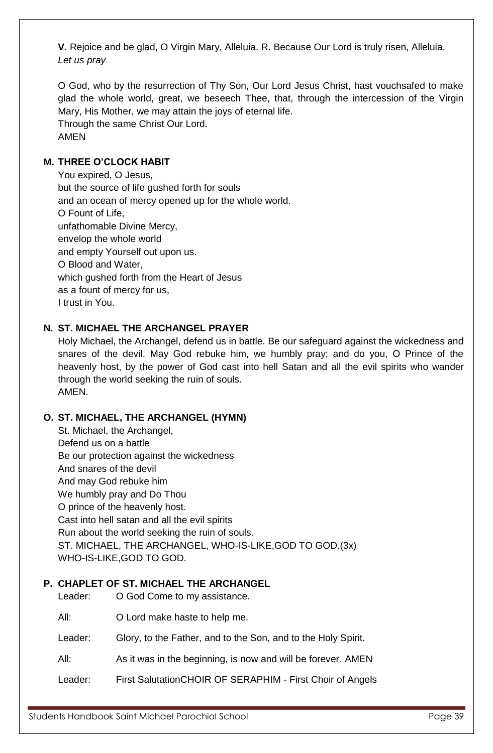**V.** Rejoice and be glad, O Virgin Mary, Alleluia. R. Because Our Lord is truly risen, Alleluia. *Let us pray* 

O God, who by the resurrection of Thy Son, Our Lord Jesus Christ, hast vouchsafed to make glad the whole world, great, we beseech Thee, that, through the intercession of the Virgin Mary, His Mother, we may attain the joys of eternal life. Through the same Christ Our Lord. AMEN

## **M. THREE O'CLOCK HABIT**

You expired, O Jesus, but the source of life gushed forth for souls and an ocean of mercy opened up for the whole world. O Fount of Life, unfathomable Divine Mercy, envelop the whole world and empty Yourself out upon us. O Blood and Water, which gushed forth from the Heart of Jesus as a fount of mercy for us, I trust in You.

## **N. ST. MICHAEL THE ARCHANGEL PRAYER**

Holy Michael, the Archangel, defend us in battle. Be our safeguard against the wickedness and snares of the devil. May God rebuke him, we humbly pray; and do you, O Prince of the heavenly host, by the power of God cast into hell Satan and all the evil spirits who wander through the world seeking the ruin of souls. AMEN.

## **O. ST. MICHAEL, THE ARCHANGEL (HYMN)**

St. Michael, the Archangel, Defend us on a battle Be our protection against the wickedness And snares of the devil And may God rebuke him We humbly pray and Do Thou O prince of the heavenly host. Cast into hell satan and all the evil spirits Run about the world seeking the ruin of souls. ST. MICHAEL, THE ARCHANGEL, WHO-IS-LIKE,GOD TO GOD.(3x) WHO-IS-LIKE,GOD TO GOD.

## **P. CHAPLET OF ST. MICHAEL THE ARCHANGEL**

Leader: O God Come to my assistance.

All: O Lord make haste to help me.

Leader: Glory, to the Father, and to the Son, and to the Holy Spirit.

All: As it was in the beginning, is now and will be forever. AMEN

Leader: First SalutationCHOIR OF SERAPHIM - First Choir of Angels

Students Handbook Saint Michael Parochial School **Page 39** Page 39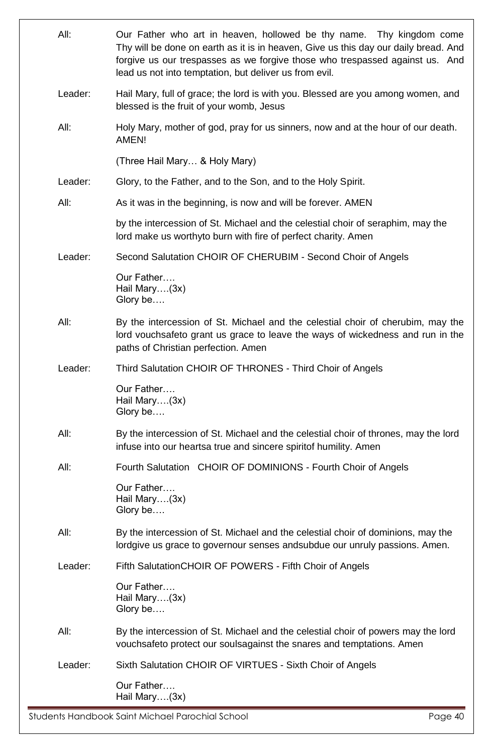| All:    | Our Father who art in heaven, hollowed be thy name. Thy kingdom come<br>Thy will be done on earth as it is in heaven, Give us this day our daily bread. And<br>forgive us our trespasses as we forgive those who trespassed against us. And<br>lead us not into temptation, but deliver us from evil. |  |
|---------|-------------------------------------------------------------------------------------------------------------------------------------------------------------------------------------------------------------------------------------------------------------------------------------------------------|--|
| Leader: | Hail Mary, full of grace; the lord is with you. Blessed are you among women, and<br>blessed is the fruit of your womb, Jesus                                                                                                                                                                          |  |
| All:    | Holy Mary, mother of god, pray for us sinners, now and at the hour of our death.<br>AMEN!                                                                                                                                                                                                             |  |
|         | (Three Hail Mary & Holy Mary)                                                                                                                                                                                                                                                                         |  |
| Leader: | Glory, to the Father, and to the Son, and to the Holy Spirit.                                                                                                                                                                                                                                         |  |
| All:    | As it was in the beginning, is now and will be forever. AMEN                                                                                                                                                                                                                                          |  |
|         | by the intercession of St. Michael and the celestial choir of seraphim, may the<br>lord make us worthyto burn with fire of perfect charity. Amen                                                                                                                                                      |  |
| Leader: | Second Salutation CHOIR OF CHERUBIM - Second Choir of Angels                                                                                                                                                                                                                                          |  |
|         | Our Father<br>Hail Mary(3x)<br>Glory be                                                                                                                                                                                                                                                               |  |
| All:    | By the intercession of St. Michael and the celestial choir of cherubim, may the<br>lord vouchsafeto grant us grace to leave the ways of wickedness and run in the<br>paths of Christian perfection. Amen                                                                                              |  |
| Leader: | Third Salutation CHOIR OF THRONES - Third Choir of Angels                                                                                                                                                                                                                                             |  |
|         | Our Father<br>Hail Mary(3x)<br>Glory be                                                                                                                                                                                                                                                               |  |
| All:    | By the intercession of St. Michael and the celestial choir of thrones, may the lord<br>infuse into our heartsa true and sincere spiritof humility. Amen                                                                                                                                               |  |
| All:    | Fourth Salutation CHOIR OF DOMINIONS - Fourth Choir of Angels                                                                                                                                                                                                                                         |  |
|         | Our Father<br>Hail Mary(3x)<br>Glory be                                                                                                                                                                                                                                                               |  |
| All:    | By the intercession of St. Michael and the celestial choir of dominions, may the<br>lordgive us grace to governour senses and subdue our unruly passions. Amen.                                                                                                                                       |  |
| Leader: | Fifth Salutation CHOIR OF POWERS - Fifth Choir of Angels                                                                                                                                                                                                                                              |  |
|         | Our Father<br>Hail Mary(3x)<br>Glory be                                                                                                                                                                                                                                                               |  |
| All:    | By the intercession of St. Michael and the celestial choir of powers may the lord<br>vouchsafeto protect our soulsagainst the snares and temptations. Amen                                                                                                                                            |  |
| Leader: | Sixth Salutation CHOIR OF VIRTUES - Sixth Choir of Angels                                                                                                                                                                                                                                             |  |
|         | Our Father<br>Hail Mary(3x)                                                                                                                                                                                                                                                                           |  |

Students Handbook Saint Michael Parochial School entitled and the Students Handbook Saint Michael Parochial School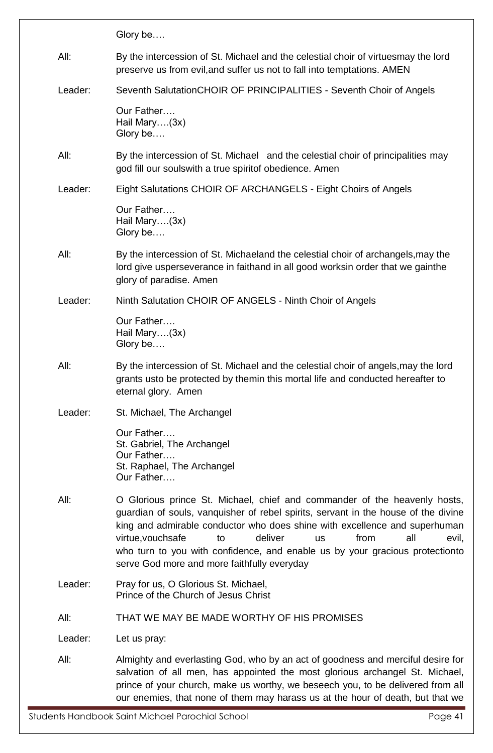|         | Glory be                                                                                                                                                                                                                                                                                                                                                                                                                                                |  |  |
|---------|---------------------------------------------------------------------------------------------------------------------------------------------------------------------------------------------------------------------------------------------------------------------------------------------------------------------------------------------------------------------------------------------------------------------------------------------------------|--|--|
| All:    | By the intercession of St. Michael and the celestial choir of virtues may the lord<br>preserve us from evil, and suffer us not to fall into temptations. AMEN                                                                                                                                                                                                                                                                                           |  |  |
| Leader: | Seventh SalutationCHOIR OF PRINCIPALITIES - Seventh Choir of Angels                                                                                                                                                                                                                                                                                                                                                                                     |  |  |
|         | Our Father<br>Hail Mary(3x)<br>Glory be                                                                                                                                                                                                                                                                                                                                                                                                                 |  |  |
| All:    | By the intercession of St. Michael and the celestial choir of principalities may<br>god fill our soulswith a true spiritof obedience. Amen                                                                                                                                                                                                                                                                                                              |  |  |
| Leader: | Eight Salutations CHOIR OF ARCHANGELS - Eight Choirs of Angels                                                                                                                                                                                                                                                                                                                                                                                          |  |  |
|         | Our Father<br>Hail Mary(3x)<br>Glory be                                                                                                                                                                                                                                                                                                                                                                                                                 |  |  |
| All:    | By the intercession of St. Michaeland the celestial choir of archangels, may the<br>lord give usperseverance in faithand in all good worksin order that we gainthe<br>glory of paradise. Amen                                                                                                                                                                                                                                                           |  |  |
| Leader: | Ninth Salutation CHOIR OF ANGELS - Ninth Choir of Angels                                                                                                                                                                                                                                                                                                                                                                                                |  |  |
|         | Our Father<br>Hail Mary(3x)<br>Glory be                                                                                                                                                                                                                                                                                                                                                                                                                 |  |  |
| All:    | By the intercession of St. Michael and the celestial choir of angels, may the lord<br>grants usto be protected by themin this mortal life and conducted hereafter to<br>eternal glory. Amen                                                                                                                                                                                                                                                             |  |  |
| Leader: | St. Michael, The Archangel                                                                                                                                                                                                                                                                                                                                                                                                                              |  |  |
|         | Our Father<br>St. Gabriel, The Archangel<br>Our Father<br>St. Raphael, The Archangel<br>Our Father                                                                                                                                                                                                                                                                                                                                                      |  |  |
| All:    | O Glorious prince St. Michael, chief and commander of the heavenly hosts,<br>guardian of souls, vanquisher of rebel spirits, servant in the house of the divine<br>king and admirable conductor who does shine with excellence and superhuman<br>deliver<br>all<br>virtue, vouchsafe<br>to<br>from<br><b>us</b><br>evil,<br>who turn to you with confidence, and enable us by your gracious protectionto<br>serve God more and more faithfully everyday |  |  |
| Leader: | Pray for us, O Glorious St. Michael,<br>Prince of the Church of Jesus Christ                                                                                                                                                                                                                                                                                                                                                                            |  |  |
| All:    | THAT WE MAY BE MADE WORTHY OF HIS PROMISES                                                                                                                                                                                                                                                                                                                                                                                                              |  |  |
| Leader: | Let us pray:                                                                                                                                                                                                                                                                                                                                                                                                                                            |  |  |
| All:    | Almighty and everlasting God, who by an act of goodness and merciful desire for<br>salvation of all men, has appointed the most glorious archangel St. Michael,<br>prince of your church, make us worthy, we beseech you, to be delivered from all<br>our enemies, that none of them may harass us at the hour of death, but that we                                                                                                                    |  |  |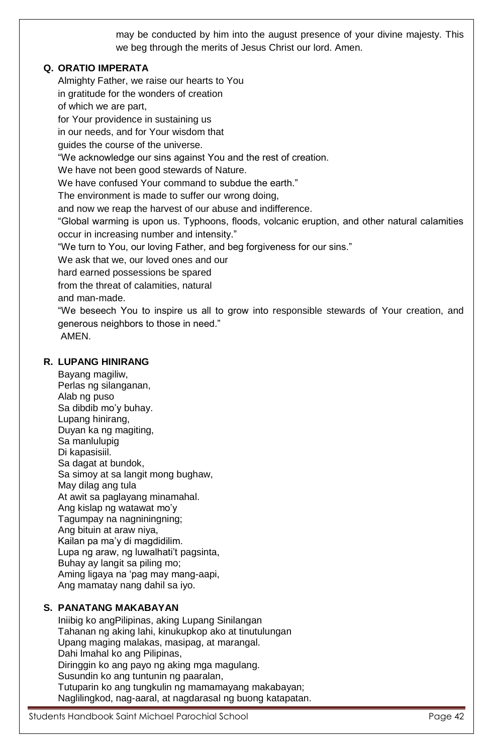may be conducted by him into the august presence of your divine majesty. This we beg through the merits of Jesus Christ our lord. Amen.

## **Q. ORATIO IMPERATA**

Almighty Father, we raise our hearts to You in gratitude for the wonders of creation of which we are part, for Your providence in sustaining us in our needs, and for Your wisdom that guides the course of the universe. "We acknowledge our sins against You and the rest of creation. We have not been good stewards of Nature. We have confused Your command to subdue the earth." The environment is made to suffer our wrong doing, and now we reap the harvest of our abuse and indifference. "Global warming is upon us. Typhoons, floods, volcanic eruption, and other natural calamities occur in increasing number and intensity." "We turn to You, our loving Father, and beg forgiveness for our sins." We ask that we, our loved ones and our hard earned possessions be spared from the threat of calamities, natural and man-made. "We beseech You to inspire us all to grow into responsible stewards of Your creation, and generous neighbors to those in need." AMEN.

## **R. LUPANG HINIRANG**

Bayang magiliw, Perlas ng silanganan, Alab ng puso Sa dibdib mo'y buhay. Lupang hinirang, Duyan ka ng magiting, Sa manlulupig Di kapasisiil. Sa dagat at bundok, Sa simoy at sa langit mong bughaw, May dilag ang tula At awit sa paglayang minamahal. Ang kislap ng watawat mo'y Tagumpay na nagniningning; Ang bituin at araw niya, Kailan pa ma'y di magdidilim. Lupa ng araw, ng luwalhati't pagsinta, Buhay ay langit sa piling mo; Aming ligaya na 'pag may mang-aapi, Ang mamatay nang dahil sa iyo.

## **S. PANATANG MAKABAYAN**

Iniibig ko angPilipinas, aking Lupang Sinilangan Tahanan ng aking lahi, kinukupkop ako at tinutulungan Upang maging malakas, masipag, at marangal. Dahi lmahal ko ang Pilipinas, Diringgin ko ang payo ng aking mga magulang. Susundin ko ang tuntunin ng paaralan, Tutuparin ko ang tungkulin ng mamamayang makabayan; Naglilingkod, nag-aaral, at nagdarasal ng buong katapatan.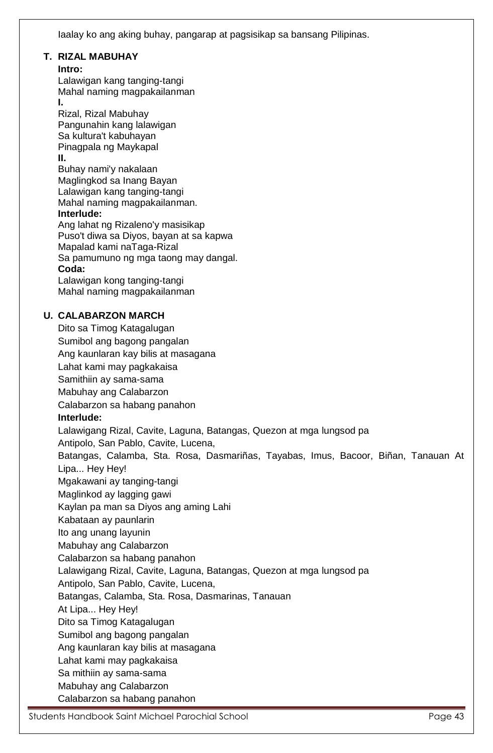Iaalay ko ang aking buhay, pangarap at pagsisikap sa bansang Pilipinas.

#### **T. RIZAL MABUHAY**

#### **Intro:**

Lalawigan kang tanging-tangi Mahal naming magpakailanman **I.** 

Rizal, Rizal Mabuhay Pangunahin kang lalawigan Sa kultura't kabuhayan Pinagpala ng Maykapal **II.**  Buhay nami'y nakalaan Maglingkod sa Inang Bayan Lalawigan kang tanging-tangi Mahal naming magpakailanman. **Interlude:** 

Ang lahat ng Rizaleno'y masisikap Puso't diwa sa Diyos, bayan at sa kapwa Mapalad kami naTaga-Rizal Sa pamumuno ng mga taong may dangal. **Coda:**  Lalawigan kong tanging-tangi

Mahal naming magpakailanman

## **U. CALABARZON MARCH**

Dito sa Timog Katagalugan Sumibol ang bagong pangalan Ang kaunlaran kay bilis at masagana Lahat kami may pagkakaisa Samithiin ay sama-sama Mabuhay ang Calabarzon Calabarzon sa habang panahon **Interlude:** Lalawigang Rizal, Cavite, Laguna, Batangas, Quezon at mga lungsod pa Antipolo, San Pablo, Cavite, Lucena, Batangas, Calamba, Sta. Rosa, Dasmariñas, Tayabas, Imus, Bacoor, Biñan, Tanauan At Lipa... Hey Hey! Mgakawani ay tanging-tangi Maglinkod ay lagging gawi Kaylan pa man sa Diyos ang aming Lahi Kabataan ay paunlarin Ito ang unang layunin Mabuhay ang Calabarzon Calabarzon sa habang panahon Lalawigang Rizal, Cavite, Laguna, Batangas, Quezon at mga lungsod pa Antipolo, San Pablo, Cavite, Lucena, Batangas, Calamba, Sta. Rosa, Dasmarinas, Tanauan At Lipa... Hey Hey! Dito sa Timog Katagalugan Sumibol ang bagong pangalan Ang kaunlaran kay bilis at masagana Lahat kami may pagkakaisa Sa mithiin ay sama-sama Mabuhay ang Calabarzon Calabarzon sa habang panahon

Students Handbook Saint Michael Parochial School **Page 13** Page 43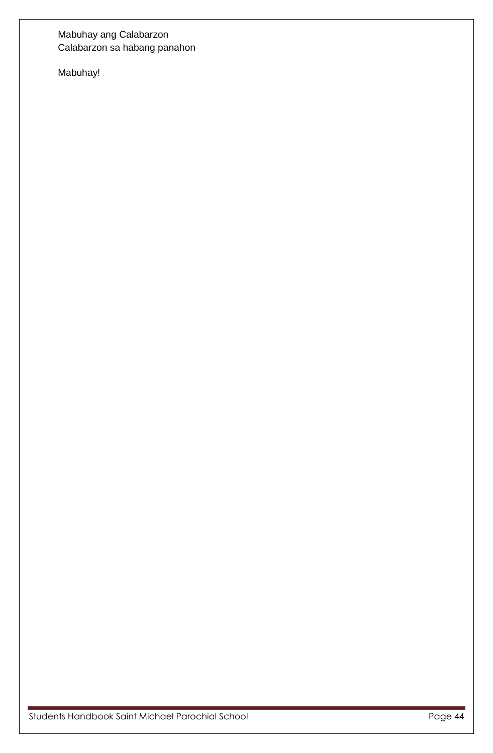## Mabuhay ang Calabarzon Calabarzon sa habang panahon

Mabuhay!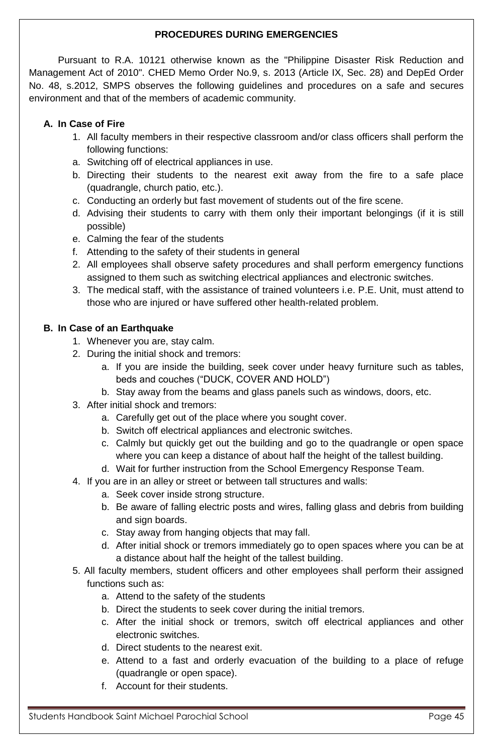## **PROCEDURES DURING EMERGENCIES**

Pursuant to R.A. 10121 otherwise known as the "Philippine Disaster Risk Reduction and Management Act of 2010". CHED Memo Order No.9, s. 2013 (Article IX, Sec. 28) and DepEd Order No. 48, s.2012, SMPS observes the following guidelines and procedures on a safe and secures environment and that of the members of academic community.

## **A. In Case of Fire**

- 1. All faculty members in their respective classroom and/or class officers shall perform the following functions:
- a. Switching off of electrical appliances in use.
- b. Directing their students to the nearest exit away from the fire to a safe place (quadrangle, church patio, etc.).
- c. Conducting an orderly but fast movement of students out of the fire scene.
- d. Advising their students to carry with them only their important belongings (if it is still possible)
- e. Calming the fear of the students
- f. Attending to the safety of their students in general
- 2. All employees shall observe safety procedures and shall perform emergency functions assigned to them such as switching electrical appliances and electronic switches.
- 3. The medical staff, with the assistance of trained volunteers i.e. P.E. Unit, must attend to those who are injured or have suffered other health-related problem.

## **B. In Case of an Earthquake**

- 1. Whenever you are, stay calm.
- 2. During the initial shock and tremors:
	- a. If you are inside the building, seek cover under heavy furniture such as tables, beds and couches ("DUCK, COVER AND HOLD")
	- b. Stay away from the beams and glass panels such as windows, doors, etc.
- 3. After initial shock and tremors:
	- a. Carefully get out of the place where you sought cover.
	- b. Switch off electrical appliances and electronic switches.
	- c. Calmly but quickly get out the building and go to the quadrangle or open space where you can keep a distance of about half the height of the tallest building.
	- d. Wait for further instruction from the School Emergency Response Team.
- 4. If you are in an alley or street or between tall structures and walls:
	- a. Seek cover inside strong structure.
	- b. Be aware of falling electric posts and wires, falling glass and debris from building and sign boards.
	- c. Stay away from hanging objects that may fall.
	- d. After initial shock or tremors immediately go to open spaces where you can be at a distance about half the height of the tallest building.
- 5. All faculty members, student officers and other employees shall perform their assigned functions such as:
	- a. Attend to the safety of the students
	- b. Direct the students to seek cover during the initial tremors.
	- c. After the initial shock or tremors, switch off electrical appliances and other electronic switches.
	- d. Direct students to the nearest exit.
	- e. Attend to a fast and orderly evacuation of the building to a place of refuge (quadrangle or open space).
	- f. Account for their students.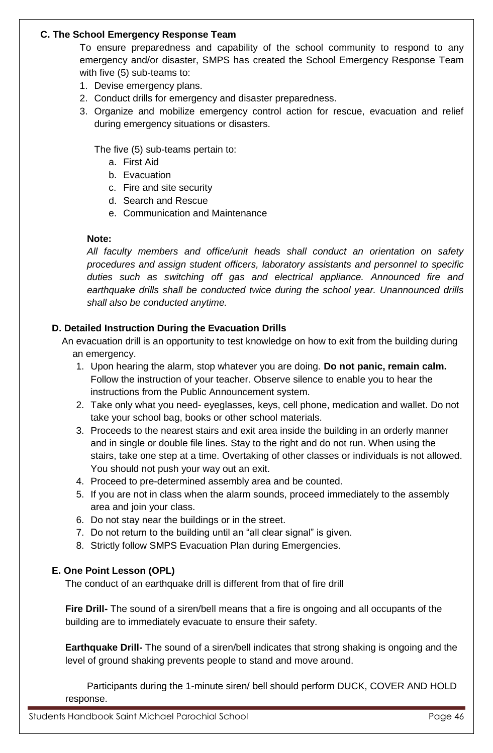## **C. The School Emergency Response Team**

To ensure preparedness and capability of the school community to respond to any emergency and/or disaster, SMPS has created the School Emergency Response Team with five (5) sub-teams to:

- 1. Devise emergency plans.
- 2. Conduct drills for emergency and disaster preparedness.
- 3. Organize and mobilize emergency control action for rescue, evacuation and relief during emergency situations or disasters.

The five (5) sub-teams pertain to:

- a. First Aid
- b. Evacuation
- c. Fire and site security
- d. Search and Rescue
- e. Communication and Maintenance

## **Note:**

*All faculty members and office/unit heads shall conduct an orientation on safety procedures and assign student officers, laboratory assistants and personnel to specific duties such as switching off gas and electrical appliance. Announced fire and earthquake drills shall be conducted twice during the school year. Unannounced drills shall also be conducted anytime.*

## **D. Detailed Instruction During the Evacuation Drills**

An evacuation drill is an opportunity to test knowledge on how to exit from the building during an emergency.

- 1. Upon hearing the alarm, stop whatever you are doing. **Do not panic, remain calm.** Follow the instruction of your teacher. Observe silence to enable you to hear the instructions from the Public Announcement system.
- 2. Take only what you need- eyeglasses, keys, cell phone, medication and wallet. Do not take your school bag, books or other school materials.
- 3. Proceeds to the nearest stairs and exit area inside the building in an orderly manner and in single or double file lines. Stay to the right and do not run. When using the stairs, take one step at a time. Overtaking of other classes or individuals is not allowed. You should not push your way out an exit.
- 4. Proceed to pre-determined assembly area and be counted.
- 5. If you are not in class when the alarm sounds, proceed immediately to the assembly area and join your class.
- 6. Do not stay near the buildings or in the street.
- 7. Do not return to the building until an "all clear signal" is given.
- 8. Strictly follow SMPS Evacuation Plan during Emergencies.

## **E. One Point Lesson (OPL)**

The conduct of an earthquake drill is different from that of fire drill

**Fire Drill-** The sound of a siren/bell means that a fire is ongoing and all occupants of the building are to immediately evacuate to ensure their safety.

**Earthquake Drill-** The sound of a siren/bell indicates that strong shaking is ongoing and the level of ground shaking prevents people to stand and move around.

Participants during the 1-minute siren/ bell should perform DUCK, COVER AND HOLD response.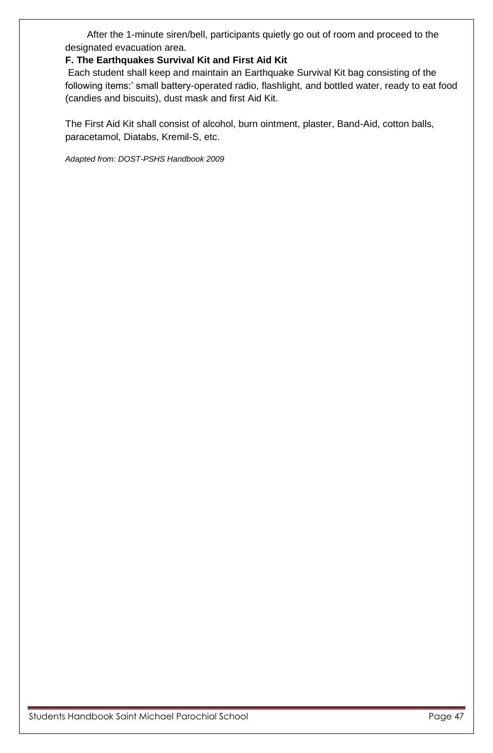After the 1-minute siren/bell, participants quietly go out of room and proceed to the designated evacuation area.

## **F. The Earthquakes Survival Kit and First Aid Kit**

Each student shall keep and maintain an Earthquake Survival Kit bag consisting of the following items:' small battery-operated radio, flashlight, and bottled water, ready to eat food (candies and biscuits), dust mask and first Aid Kit.

The First Aid Kit shall consist of alcohol, burn ointment, plaster, Band-Aid, cotton balls, paracetamol, Diatabs, Kremil-S, etc.

*Adapted from: DOST-PSHS Handbook 2009*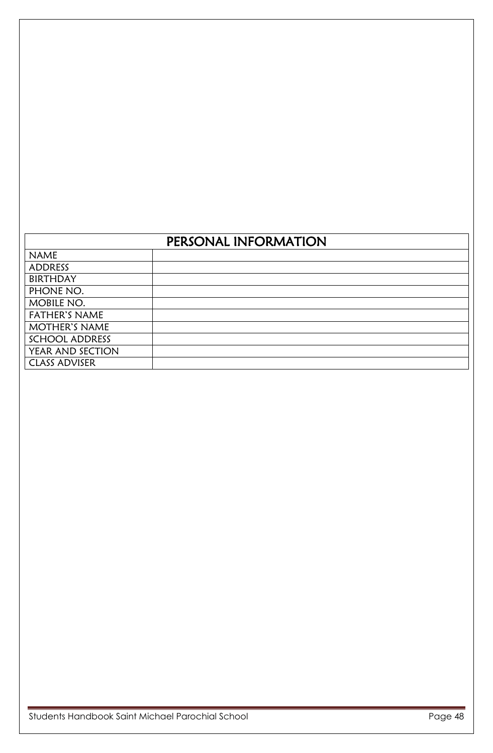| <b>NAME</b>           |  |
|-----------------------|--|
| ADDRESS               |  |
| <b>BIRTHDAY</b>       |  |
| PHONE NO.             |  |
| MOBILE NO.            |  |
| <b>FATHER'S NAME</b>  |  |
| <b>MOTHER'S NAME</b>  |  |
| <b>SCHOOL ADDRESS</b> |  |
| YEAR AND SECTION      |  |
| <b>CLASS ADVISER</b>  |  |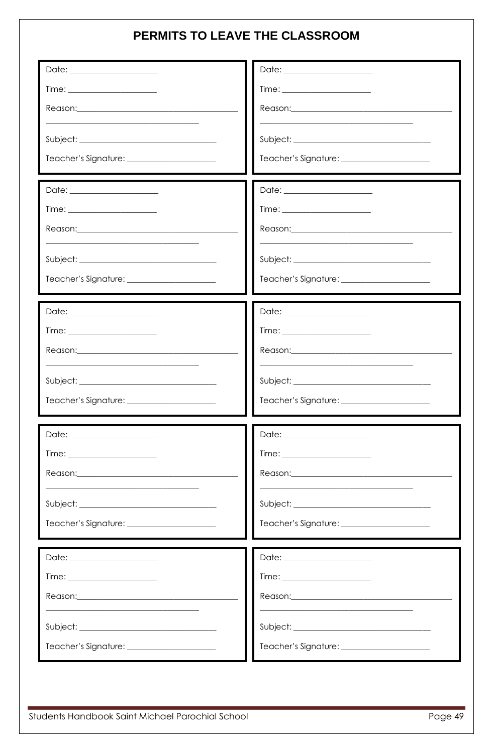# PERMITS TO LEAVE THE CLASSROOM

| Date: _________________________                                                                                                                                                                                                                                                                                                                                                                                                      |                                                   |
|--------------------------------------------------------------------------------------------------------------------------------------------------------------------------------------------------------------------------------------------------------------------------------------------------------------------------------------------------------------------------------------------------------------------------------------|---------------------------------------------------|
|                                                                                                                                                                                                                                                                                                                                                                                                                                      | $Time: \underline{\hspace{2cm} 1.5cm}$            |
| Reason: 2008 2009 2010 2021 2022 2023 2024 2022 2023 2024 2022 2023 2024 2022 2023 2024 2025 2026 2027 2028 20                                                                                                                                                                                                                                                                                                                       |                                                   |
|                                                                                                                                                                                                                                                                                                                                                                                                                                      |                                                   |
|                                                                                                                                                                                                                                                                                                                                                                                                                                      | Teacher's Signature: <u>_____________________</u> |
| Date: ________________________                                                                                                                                                                                                                                                                                                                                                                                                       | Date: _______________________                     |
| $Time: \underline{\hspace{2cm} \hspace{2cm} \hspace{2cm} \hspace{2cm} \hspace{2cm} \hspace{2cm} \hspace{2cm} \hspace{2cm} \hspace{2cm} \hspace{2cm} \hspace{2cm} \hspace{2cm} \hspace{2cm} \hspace{2cm} \hspace{2cm} \hspace{2cm} \hspace{2cm} \hspace{2cm} \hspace{2cm} \hspace{2cm} \hspace{2cm} \hspace{2cm} \hspace{2cm} \hspace{2cm} \hspace{2cm} \hspace{2cm} \hspace{2cm} \hspace{2cm} \hspace{2cm} \hspace{2cm} \hspace{2cm$ | Time: _________________________                   |
|                                                                                                                                                                                                                                                                                                                                                                                                                                      |                                                   |
|                                                                                                                                                                                                                                                                                                                                                                                                                                      |                                                   |
| Teacher's Signature: _______________________                                                                                                                                                                                                                                                                                                                                                                                         | Teacher's Signature: ______________________       |
| Date: _______________________                                                                                                                                                                                                                                                                                                                                                                                                        |                                                   |
| $Time: \underline{\hspace{2cm} 1.5cm}$                                                                                                                                                                                                                                                                                                                                                                                               | $Time: \underline{\hspace{2cm} 1.5cm}$            |
|                                                                                                                                                                                                                                                                                                                                                                                                                                      |                                                   |
|                                                                                                                                                                                                                                                                                                                                                                                                                                      |                                                   |
|                                                                                                                                                                                                                                                                                                                                                                                                                                      |                                                   |
|                                                                                                                                                                                                                                                                                                                                                                                                                                      |                                                   |
| $Time: \underline{\hspace{2cm} 1.5cm}$                                                                                                                                                                                                                                                                                                                                                                                               |                                                   |
|                                                                                                                                                                                                                                                                                                                                                                                                                                      |                                                   |
|                                                                                                                                                                                                                                                                                                                                                                                                                                      |                                                   |
|                                                                                                                                                                                                                                                                                                                                                                                                                                      |                                                   |
| Date: _______________________                                                                                                                                                                                                                                                                                                                                                                                                        |                                                   |
|                                                                                                                                                                                                                                                                                                                                                                                                                                      |                                                   |
|                                                                                                                                                                                                                                                                                                                                                                                                                                      |                                                   |
|                                                                                                                                                                                                                                                                                                                                                                                                                                      |                                                   |
|                                                                                                                                                                                                                                                                                                                                                                                                                                      |                                                   |
|                                                                                                                                                                                                                                                                                                                                                                                                                                      |                                                   |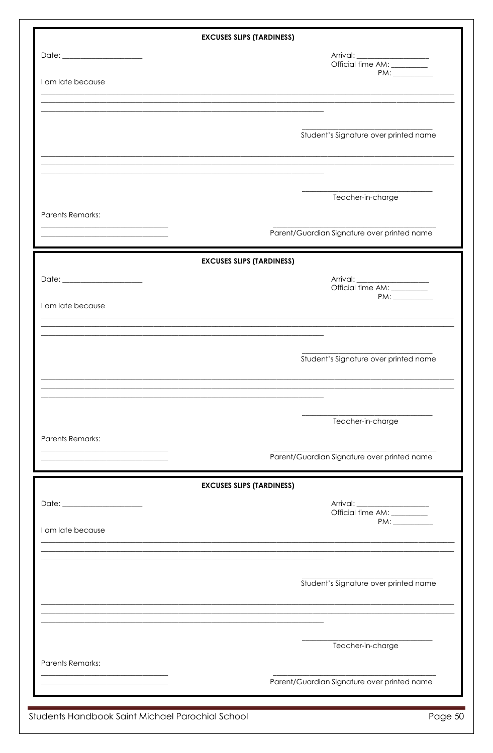|                                                                                                                      | <b>EXCUSES SLIPS (TARDINESS)</b>            |
|----------------------------------------------------------------------------------------------------------------------|---------------------------------------------|
| Date: _________________________                                                                                      | Arrival:<br>Official time AM: __________    |
|                                                                                                                      |                                             |
| I am late because                                                                                                    |                                             |
|                                                                                                                      |                                             |
|                                                                                                                      |                                             |
|                                                                                                                      | Student's Signature over printed name       |
|                                                                                                                      |                                             |
|                                                                                                                      |                                             |
|                                                                                                                      |                                             |
|                                                                                                                      | Teacher-in-charge                           |
| <b>Parents Remarks:</b><br><u> 1989 - Johann John Stone, market fransk politiker (</u>                               |                                             |
|                                                                                                                      | Parent/Guardian Signature over printed name |
|                                                                                                                      |                                             |
|                                                                                                                      | <b>EXCUSES SLIPS (TARDINESS)</b>            |
|                                                                                                                      | Official time AM: ________                  |
| I am late because                                                                                                    |                                             |
|                                                                                                                      |                                             |
|                                                                                                                      |                                             |
|                                                                                                                      |                                             |
|                                                                                                                      | Student's Signature over printed name       |
|                                                                                                                      |                                             |
|                                                                                                                      |                                             |
|                                                                                                                      |                                             |
|                                                                                                                      | Teacher-in-charge                           |
| <b>Parents Remarks:</b>                                                                                              |                                             |
|                                                                                                                      | Parent/Guardian Signature over printed name |
|                                                                                                                      |                                             |
|                                                                                                                      | <b>EXCUSES SLIPS (TARDINESS)</b>            |
|                                                                                                                      |                                             |
| I am late because                                                                                                    |                                             |
|                                                                                                                      |                                             |
|                                                                                                                      |                                             |
|                                                                                                                      | Student's Signature over printed name       |
|                                                                                                                      |                                             |
|                                                                                                                      |                                             |
|                                                                                                                      |                                             |
|                                                                                                                      | Teacher-in-charge                           |
| <b>Parents Remarks:</b>                                                                                              |                                             |
|                                                                                                                      |                                             |
| <u> 1989 - Johann John Stone, market fan it ferstjer fan it ferstjer fan it ferstjer fan it ferstjer fan it fers</u> | Parent/Guardian Signature over printed name |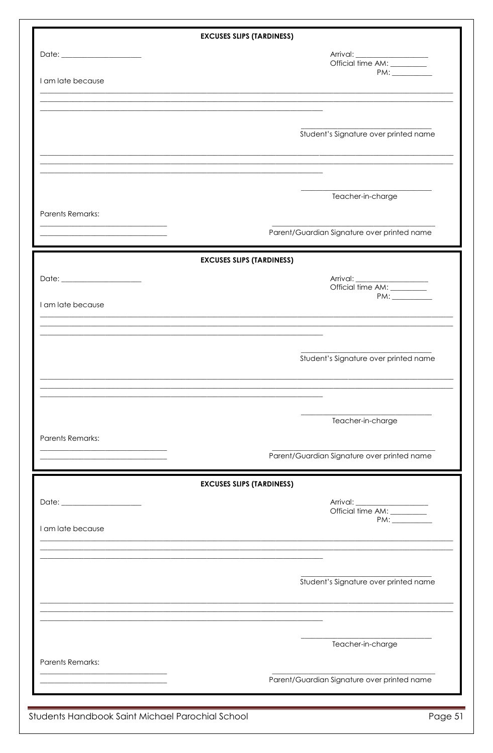|                         | <b>EXCUSES SLIPS (TARDINESS)</b>                                                                                 |
|-------------------------|------------------------------------------------------------------------------------------------------------------|
|                         | Arrival:<br>Official time AM: _________                                                                          |
|                         |                                                                                                                  |
| I am late because       |                                                                                                                  |
|                         |                                                                                                                  |
|                         |                                                                                                                  |
|                         | Student's Signature over printed name                                                                            |
|                         |                                                                                                                  |
|                         | and the control of the control of the control of the control of the control of the control of the control of the |
|                         |                                                                                                                  |
|                         | Teacher-in-charge                                                                                                |
| <b>Parents Remarks:</b> |                                                                                                                  |
|                         | Parent/Guardian Signature over printed name                                                                      |
|                         |                                                                                                                  |
|                         | <b>EXCUSES SLIPS (TARDINESS)</b>                                                                                 |
|                         |                                                                                                                  |
|                         | Official time AM: _________                                                                                      |
| I am late because       | $PM: \underline{\hspace{2.0cm} \qquad \qquad }$                                                                  |
|                         |                                                                                                                  |
|                         |                                                                                                                  |
|                         |                                                                                                                  |
|                         | Student's Signature over printed name                                                                            |
|                         |                                                                                                                  |
|                         |                                                                                                                  |
|                         | Teacher-in-charge                                                                                                |
|                         |                                                                                                                  |
| <b>Parents Remarks:</b> |                                                                                                                  |
|                         | Parent/Guardian Signature over printed name                                                                      |
|                         | <b>EXCUSES SLIPS (TARDINESS)</b>                                                                                 |
|                         |                                                                                                                  |
|                         | Official time AM: _________                                                                                      |
| I am late because       |                                                                                                                  |
|                         |                                                                                                                  |
|                         |                                                                                                                  |
|                         |                                                                                                                  |
|                         | Student's Signature over printed name                                                                            |
|                         |                                                                                                                  |
|                         |                                                                                                                  |
|                         |                                                                                                                  |
|                         | Teacher-in-charge                                                                                                |
|                         |                                                                                                                  |
| <b>Parents Remarks:</b> |                                                                                                                  |

Students Handbook Saint Michael Parochial School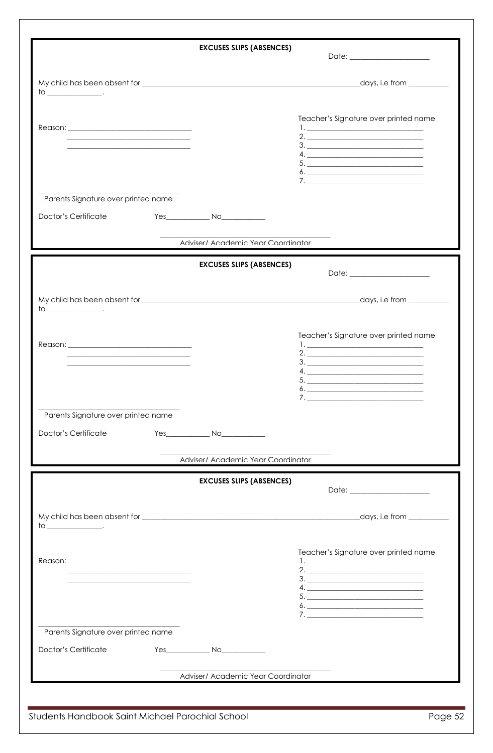|                                                                                           | <b>EXCUSES SLIPS (ABSENCES)</b>    |                                                                                                                                                                                                                                                                                                                                                                     |
|-------------------------------------------------------------------------------------------|------------------------------------|---------------------------------------------------------------------------------------------------------------------------------------------------------------------------------------------------------------------------------------------------------------------------------------------------------------------------------------------------------------------|
|                                                                                           |                                    |                                                                                                                                                                                                                                                                                                                                                                     |
|                                                                                           |                                    |                                                                                                                                                                                                                                                                                                                                                                     |
|                                                                                           |                                    | Teacher's Signature over printed name                                                                                                                                                                                                                                                                                                                               |
| the control of the control of the control of the control of the control of the control of |                                    | $\begin{array}{c}\n3.\n\end{array}$                                                                                                                                                                                                                                                                                                                                 |
|                                                                                           |                                    | 4.                                                                                                                                                                                                                                                                                                                                                                  |
|                                                                                           |                                    | $\begin{picture}(20,10) \put(0,0){\vector(1,0){100}} \put(15,0){\vector(1,0){100}} \put(15,0){\vector(1,0){100}} \put(15,0){\vector(1,0){100}} \put(15,0){\vector(1,0){100}} \put(15,0){\vector(1,0){100}} \put(15,0){\vector(1,0){100}} \put(15,0){\vector(1,0){100}} \put(15,0){\vector(1,0){100}} \put(15,0){\vector(1,0){100}} \put(15,0){\vector(1,0){100}} \$ |
| Parents Signature over printed name                                                       |                                    |                                                                                                                                                                                                                                                                                                                                                                     |
| Doctor's Certificate                                                                      |                                    |                                                                                                                                                                                                                                                                                                                                                                     |
|                                                                                           | Adviser/ Academic Year Coordinator |                                                                                                                                                                                                                                                                                                                                                                     |
|                                                                                           |                                    |                                                                                                                                                                                                                                                                                                                                                                     |
|                                                                                           | <b>EXCUSES SLIPS (ABSENCES)</b>    | Date: _______________________                                                                                                                                                                                                                                                                                                                                       |
|                                                                                           |                                    |                                                                                                                                                                                                                                                                                                                                                                     |
|                                                                                           |                                    |                                                                                                                                                                                                                                                                                                                                                                     |
|                                                                                           |                                    | Teacher's Signature over printed name                                                                                                                                                                                                                                                                                                                               |
|                                                                                           |                                    |                                                                                                                                                                                                                                                                                                                                                                     |
|                                                                                           |                                    | 3.<br>4.                                                                                                                                                                                                                                                                                                                                                            |
|                                                                                           |                                    |                                                                                                                                                                                                                                                                                                                                                                     |
|                                                                                           |                                    |                                                                                                                                                                                                                                                                                                                                                                     |
| Parents Signature over printed name                                                       |                                    |                                                                                                                                                                                                                                                                                                                                                                     |
| Doctor's Certificate                                                                      |                                    |                                                                                                                                                                                                                                                                                                                                                                     |
|                                                                                           | Adviser/ Academic Year Coordinator |                                                                                                                                                                                                                                                                                                                                                                     |
|                                                                                           |                                    |                                                                                                                                                                                                                                                                                                                                                                     |
|                                                                                           | <b>EXCUSES SLIPS (ABSENCES)</b>    |                                                                                                                                                                                                                                                                                                                                                                     |
|                                                                                           |                                    |                                                                                                                                                                                                                                                                                                                                                                     |
|                                                                                           |                                    |                                                                                                                                                                                                                                                                                                                                                                     |
|                                                                                           |                                    | Teacher's Signature over printed name                                                                                                                                                                                                                                                                                                                               |
|                                                                                           |                                    | 2.                                                                                                                                                                                                                                                                                                                                                                  |
|                                                                                           |                                    |                                                                                                                                                                                                                                                                                                                                                                     |
|                                                                                           |                                    |                                                                                                                                                                                                                                                                                                                                                                     |
|                                                                                           |                                    |                                                                                                                                                                                                                                                                                                                                                                     |
|                                                                                           |                                    |                                                                                                                                                                                                                                                                                                                                                                     |
| Parents Signature over printed name                                                       |                                    |                                                                                                                                                                                                                                                                                                                                                                     |
| Doctor's Certificate                                                                      |                                    |                                                                                                                                                                                                                                                                                                                                                                     |
|                                                                                           |                                    |                                                                                                                                                                                                                                                                                                                                                                     |